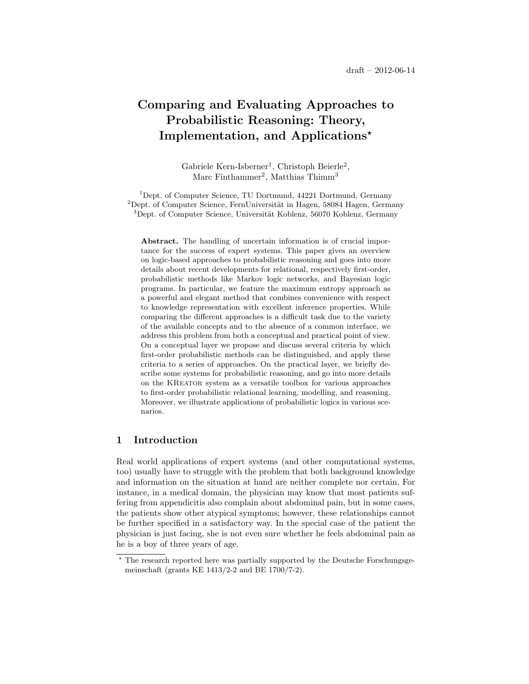# Comparing and Evaluating Approaches to Probabilistic Reasoning: Theory, Implementation, and Applications?

Gabriele Kern-Isberner<sup>1</sup>, Christoph Beierle<sup>2</sup>, Marc Finthammer<sup>2</sup>, Matthias Thimm<sup>3</sup>

<sup>1</sup>Dept. of Computer Science, TU Dortmund, 44221 Dortmund, Germany  $2$ Dept. of Computer Science, FernUniversität in Hagen, 58084 Hagen, Germany  $3$ Dept. of Computer Science, Universität Koblenz, 56070 Koblenz, Germany

Abstract. The handling of uncertain information is of crucial importance for the success of expert systems. This paper gives an overview on logic-based approaches to probabilistic reasoning and goes into more details about recent developments for relational, respectively first-order, probabilistic methods like Markov logic networks, and Bayesian logic programs. In particular, we feature the maximum entropy approach as a powerful and elegant method that combines convenience with respect to knowledge representation with excellent inference properties. While comparing the different approaches is a difficult task due to the variety of the available concepts and to the absence of a common interface, we address this problem from both a conceptual and practical point of view. On a conceptual layer we propose and discuss several criteria by which first-order probabilistic methods can be distinguished, and apply these criteria to a series of approaches. On the practical layer, we briefly describe some systems for probabilistic reasoning, and go into more details on the KReator system as a versatile toolbox for various approaches to first-order probabilistic relational learning, modelling, and reasoning. Moreover, we illustrate applications of probabilistic logics in various scenarios.

# 1 Introduction

Real world applications of expert systems (and other computational systems, too) usually have to struggle with the problem that both background knowledge and information on the situation at hand are neither complete nor certain. For instance, in a medical domain, the physician may know that most patients suffering from appendicitis also complain about abdominal pain, but in some cases, the patients show other atypical symptoms; however, these relationships cannot be further specified in a satisfactory way. In the special case of the patient the physician is just facing, she is not even sure whether he feels abdominal pain as he is a boy of three years of age.

<sup>?</sup> The research reported here was partially supported by the Deutsche Forschungsgemeinschaft (grants KE 1413/2-2 and BE 1700/7-2).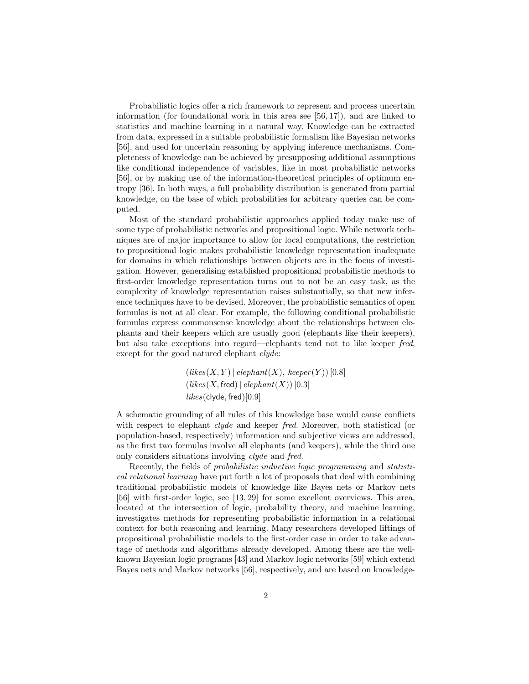Probabilistic logics offer a rich framework to represent and process uncertain information (for foundational work in this area see  $[56, 17]$ ), and are linked to statistics and machine learning in a natural way. Knowledge can be extracted from data, expressed in a suitable probabilistic formalism like Bayesian networks [56], and used for uncertain reasoning by applying inference mechanisms. Completeness of knowledge can be achieved by presupposing additional assumptions like conditional independence of variables, like in most probabilistic networks [56], or by making use of the information-theoretical principles of optimum entropy [36]. In both ways, a full probability distribution is generated from partial knowledge, on the base of which probabilities for arbitrary queries can be computed.

Most of the standard probabilistic approaches applied today make use of some type of probabilistic networks and propositional logic. While network techniques are of major importance to allow for local computations, the restriction to propositional logic makes probabilistic knowledge representation inadequate for domains in which relationships between objects are in the focus of investigation. However, generalising established propositional probabilistic methods to first-order knowledge representation turns out to not be an easy task, as the complexity of knowledge representation raises substantially, so that new inference techniques have to be devised. Moreover, the probabilistic semantics of open formulas is not at all clear. For example, the following conditional probabilistic formulas express commonsense knowledge about the relationships between elephants and their keepers which are usually good (elephants like their keepers), but also take exceptions into regard—elephants tend not to like keeper fred, except for the good natured elephant *clyde*:

$$
(likes(X, Y) | elephant(X), keeper(Y)) [0.8]
$$

$$
(likes(X, freq) | elephant(X)) [0.3]
$$

$$
likes (clyde, fred) [0.9]
$$

A schematic grounding of all rules of this knowledge base would cause conflicts with respect to elephant *clyde* and keeper *fred*. Moreover, both statistical (or population-based, respectively) information and subjective views are addressed, as the first two formulas involve all elephants (and keepers), while the third one only considers situations involving clyde and fred.

Recently, the fields of probabilistic inductive logic programming and statistical relational learning have put forth a lot of proposals that deal with combining traditional probabilistic models of knowledge like Bayes nets or Markov nets [56] with first-order logic, see [13, 29] for some excellent overviews. This area, located at the intersection of logic, probability theory, and machine learning, investigates methods for representing probabilistic information in a relational context for both reasoning and learning. Many researchers developed liftings of propositional probabilistic models to the first-order case in order to take advantage of methods and algorithms already developed. Among these are the wellknown Bayesian logic programs [43] and Markov logic networks [59] which extend Bayes nets and Markov networks [56], respectively, and are based on knowledge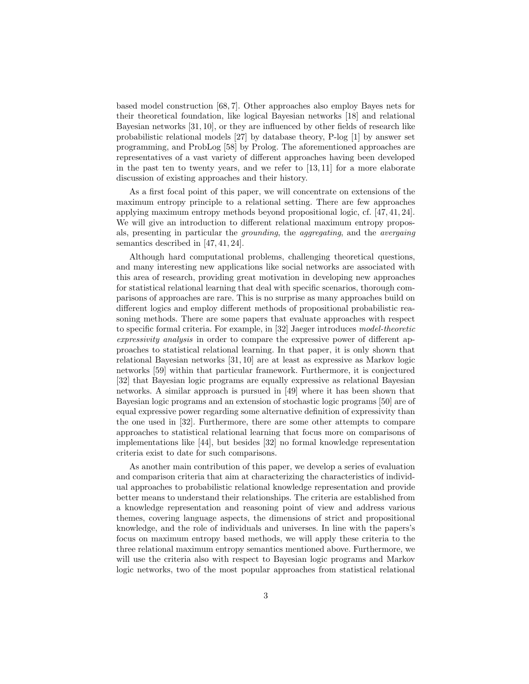based model construction [68, 7]. Other approaches also employ Bayes nets for their theoretical foundation, like logical Bayesian networks [18] and relational Bayesian networks [31, 10], or they are influenced by other fields of research like probabilistic relational models [27] by database theory, P-log [1] by answer set programming, and ProbLog [58] by Prolog. The aforementioned approaches are representatives of a vast variety of different approaches having been developed in the past ten to twenty years, and we refer to [13, 11] for a more elaborate discussion of existing approaches and their history.

As a first focal point of this paper, we will concentrate on extensions of the maximum entropy principle to a relational setting. There are few approaches applying maximum entropy methods beyond propositional logic, cf. [47, 41, 24]. We will give an introduction to different relational maximum entropy proposals, presenting in particular the grounding, the aggregating, and the avergaing semantics described in [47, 41, 24].

Although hard computational problems, challenging theoretical questions, and many interesting new applications like social networks are associated with this area of research, providing great motivation in developing new approaches for statistical relational learning that deal with specific scenarios, thorough comparisons of approaches are rare. This is no surprise as many approaches build on different logics and employ different methods of propositional probabilistic reasoning methods. There are some papers that evaluate approaches with respect to specific formal criteria. For example, in [32] Jaeger introduces model-theoretic expressivity analysis in order to compare the expressive power of different approaches to statistical relational learning. In that paper, it is only shown that relational Bayesian networks [31, 10] are at least as expressive as Markov logic networks [59] within that particular framework. Furthermore, it is conjectured [32] that Bayesian logic programs are equally expressive as relational Bayesian networks. A similar approach is pursued in [49] where it has been shown that Bayesian logic programs and an extension of stochastic logic programs [50] are of equal expressive power regarding some alternative definition of expressivity than the one used in [32]. Furthermore, there are some other attempts to compare approaches to statistical relational learning that focus more on comparisons of implementations like [44], but besides [32] no formal knowledge representation criteria exist to date for such comparisons.

As another main contribution of this paper, we develop a series of evaluation and comparison criteria that aim at characterizing the characteristics of individual approaches to probabilistic relational knowledge representation and provide better means to understand their relationships. The criteria are established from a knowledge representation and reasoning point of view and address various themes, covering language aspects, the dimensions of strict and propositional knowledge, and the role of individuals and universes. In line with the papers's focus on maximum entropy based methods, we will apply these criteria to the three relational maximum entropy semantics mentioned above. Furthermore, we will use the criteria also with respect to Bayesian logic programs and Markov logic networks, two of the most popular approaches from statistical relational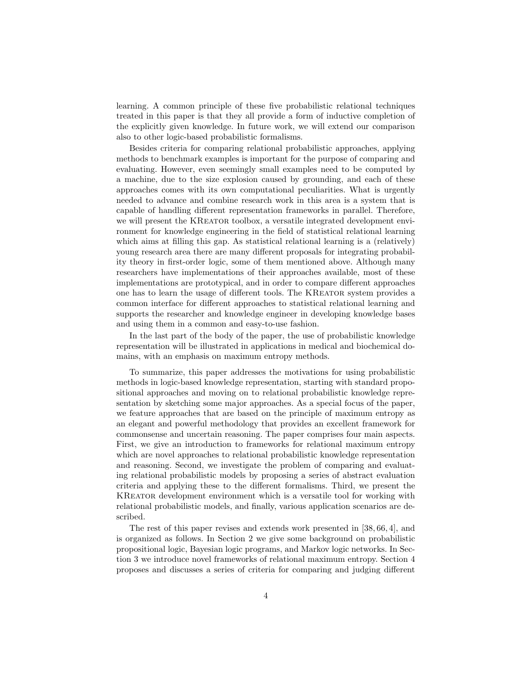learning. A common principle of these five probabilistic relational techniques treated in this paper is that they all provide a form of inductive completion of the explicitly given knowledge. In future work, we will extend our comparison also to other logic-based probabilistic formalisms.

Besides criteria for comparing relational probabilistic approaches, applying methods to benchmark examples is important for the purpose of comparing and evaluating. However, even seemingly small examples need to be computed by a machine, due to the size explosion caused by grounding, and each of these approaches comes with its own computational peculiarities. What is urgently needed to advance and combine research work in this area is a system that is capable of handling different representation frameworks in parallel. Therefore, we will present the KREATOR toolbox, a versatile integrated development environment for knowledge engineering in the field of statistical relational learning which aims at filling this gap. As statistical relational learning is a (relatively) young research area there are many different proposals for integrating probability theory in first-order logic, some of them mentioned above. Although many researchers have implementations of their approaches available, most of these implementations are prototypical, and in order to compare different approaches one has to learn the usage of different tools. The KREATOR system provides a common interface for different approaches to statistical relational learning and supports the researcher and knowledge engineer in developing knowledge bases and using them in a common and easy-to-use fashion.

In the last part of the body of the paper, the use of probabilistic knowledge representation will be illustrated in applications in medical and biochemical domains, with an emphasis on maximum entropy methods.

To summarize, this paper addresses the motivations for using probabilistic methods in logic-based knowledge representation, starting with standard propositional approaches and moving on to relational probabilistic knowledge representation by sketching some major approaches. As a special focus of the paper, we feature approaches that are based on the principle of maximum entropy as an elegant and powerful methodology that provides an excellent framework for commonsense and uncertain reasoning. The paper comprises four main aspects. First, we give an introduction to frameworks for relational maximum entropy which are novel approaches to relational probabilistic knowledge representation and reasoning. Second, we investigate the problem of comparing and evaluating relational probabilistic models by proposing a series of abstract evaluation criteria and applying these to the different formalisms. Third, we present the KREATOR development environment which is a versatile tool for working with relational probabilistic models, and finally, various application scenarios are described.

The rest of this paper revises and extends work presented in [38, 66, 4], and is organized as follows. In Section 2 we give some background on probabilistic propositional logic, Bayesian logic programs, and Markov logic networks. In Section 3 we introduce novel frameworks of relational maximum entropy. Section 4 proposes and discusses a series of criteria for comparing and judging different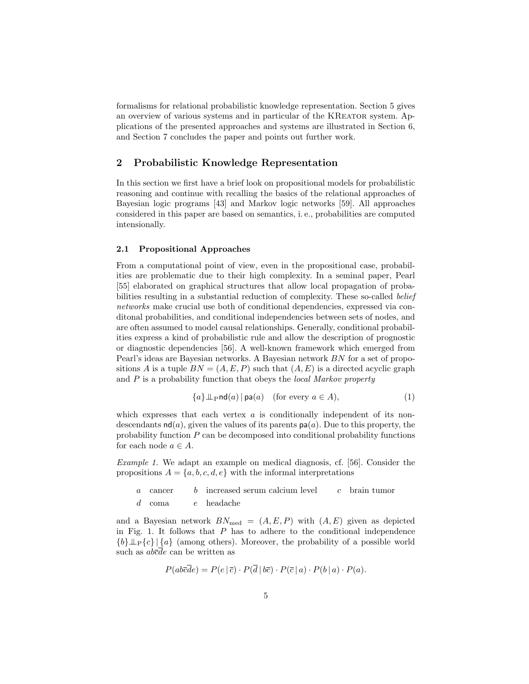formalisms for relational probabilistic knowledge representation. Section 5 gives an overview of various systems and in particular of the KREATOR system. Applications of the presented approaches and systems are illustrated in Section 6, and Section 7 concludes the paper and points out further work.

### 2 Probabilistic Knowledge Representation

In this section we first have a brief look on propositional models for probabilistic reasoning and continue with recalling the basics of the relational approaches of Bayesian logic programs [43] and Markov logic networks [59]. All approaches considered in this paper are based on semantics, i. e., probabilities are computed intensionally.

# 2.1 Propositional Approaches

From a computational point of view, even in the propositional case, probabilities are problematic due to their high complexity. In a seminal paper, Pearl [55] elaborated on graphical structures that allow local propagation of probabilities resulting in a substantial reduction of complexity. These so-called *belief* networks make crucial use both of conditional dependencies, expressed via conditonal probabilities, and conditional independencies between sets of nodes, and are often assumed to model causal relationships. Generally, conditional probabilities express a kind of probabilistic rule and allow the description of prognostic or diagnostic dependencies [56]. A well-known framework which emerged from Pearl's ideas are Bayesian networks. A Bayesian network BN for a set of propositions A is a tuple  $BN = (A, E, P)$  such that  $(A, E)$  is a directed acyclic graph and  $P$  is a probability function that obeys the *local Markov property* 

$$
\{a\} \perp \perp_{\mathbf{P}} \mathsf{nd}(a) \mid \mathsf{pa}(a) \quad \text{(for every } a \in A\text{)},\tag{1}
$$

which expresses that each vertex  $a$  is conditionally independent of its nondescendants  $\mathsf{nd}(a)$ , given the values of its parents  $\mathsf{pa}(a)$ . Due to this property, the probability function  $P$  can be decomposed into conditional probability functions for each node  $a \in A$ .

Example 1. We adapt an example on medical diagnosis, cf. [56]. Consider the propositions  $A = \{a, b, c, d, e\}$  with the informal interpretations

a cancer b increased serum calcium level c brain tumor d coma e headache

and a Bayesian network  $BN_{\text{med}} = (A, E, P)$  with  $(A, E)$  given as depicted in Fig. 1. It follows that  $P$  has to adhere to the conditional independence  ${b} \perp_{P} {c}$  |  ${a}$  (among others). Moreover, the probability of a possible world such as  $ab\bar{c}de$  can be written as

$$
P(ab\overline{c}\overline{d}e) = P(e|\overline{c}) \cdot P(\overline{d}|b\overline{c}) \cdot P(\overline{c}|a) \cdot P(b|a) \cdot P(a).
$$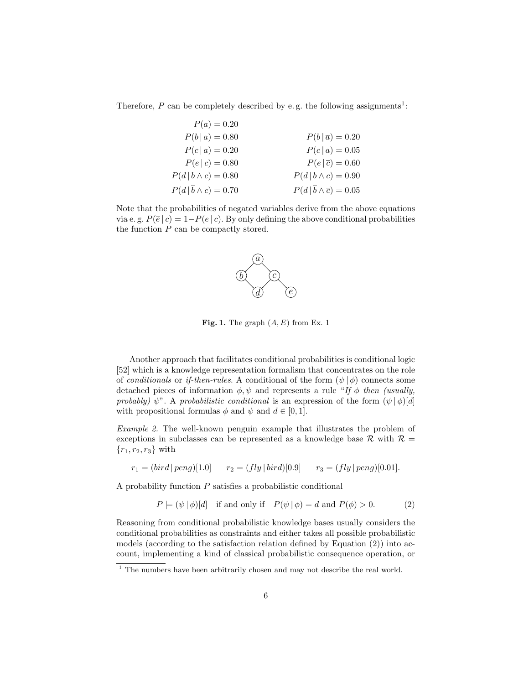Therefore,  $P$  can be completely described by e.g. the following assignments<sup>1</sup>:

| $P(a) = 0.20$                         |                                                  |
|---------------------------------------|--------------------------------------------------|
| $P(b a) = 0.80$                       | $P(b \bar{a}) = 0.20$                            |
| $P(c a) = 0.20$                       | $P(c \overline{a})=0.05$                         |
| $P(e c) = 0.80$                       | $P(e \overline{c}) = 0.60$                       |
| $P(d   b \wedge c) = 0.80$            | $P(d   b \wedge \overline{c}) = 0.90$            |
| $P(d   \overline{b} \wedge c) = 0.70$ | $P(d   \overline{b} \wedge \overline{c}) = 0.05$ |

Note that the probabilities of negated variables derive from the above equations via e. g.  $P(\bar{e} | c) = 1-P(e | c)$ . By only defining the above conditional probabilities the function P can be compactly stored.



Fig. 1. The graph  $(A, E)$  from Ex. 1

Another approach that facilitates conditional probabilities is conditional logic [52] which is a knowledge representation formalism that concentrates on the role of conditionals or if-then-rules. A conditional of the form  $(\psi | \phi)$  connects some detached pieces of information  $\phi, \psi$  and represents a rule "If  $\phi$  then (usually, probably)  $\psi$ ". A probabilistic conditional is an expression of the form  $(\psi | \phi) [d]$ with propositional formulas  $\phi$  and  $\psi$  and  $d \in [0, 1]$ .

Example 2. The well-known penguin example that illustrates the problem of exceptions in subclasses can be represented as a knowledge base  $R$  with  $R =$  ${r_1, r_2, r_3}$  with

$$
r_1 = (bird | peng)[1.0] \qquad r_2 = (fly | bird)[0.9] \qquad r_3 = (fly | peng)[0.01].
$$

A probability function  $P$  satisfies a probabilistic conditional

$$
P \models (\psi \mid \phi)[d] \quad \text{if and only if} \quad P(\psi \mid \phi) = d \text{ and } P(\phi) > 0. \tag{2}
$$

Reasoning from conditional probabilistic knowledge bases usually considers the conditional probabilities as constraints and either takes all possible probabilistic models (according to the satisfaction relation defined by Equation (2)) into account, implementing a kind of classical probabilistic consequence operation, or

 $\frac{1}{1}$  The numbers have been arbitrarily chosen and may not describe the real world.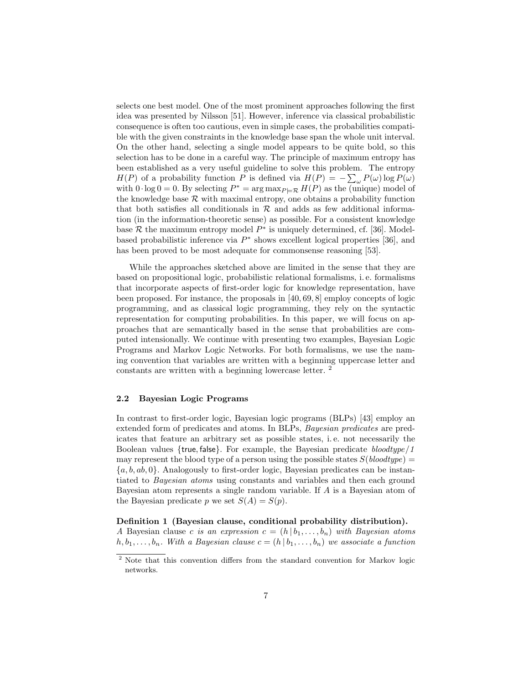selects one best model. One of the most prominent approaches following the first idea was presented by Nilsson [51]. However, inference via classical probabilistic consequence is often too cautious, even in simple cases, the probabilities compatible with the given constraints in the knowledge base span the whole unit interval. On the other hand, selecting a single model appears to be quite bold, so this selection has to be done in a careful way. The principle of maximum entropy has been established as a very useful guideline to solve this problem. The entropy  $H(P)$  of a probability function P is defined via  $H(P) = -\sum_{\omega} P(\omega) \log P(\omega)$ with  $0 \cdot \log 0 = 0$ . By selecting  $P^* = \arg \max_{P \in \mathcal{R}} H(P)$  as the (unique) model of the knowledge base  $R$  with maximal entropy, one obtains a probability function that both satisfies all conditionals in  $R$  and adds as few additional information (in the information-theoretic sense) as possible. For a consistent knowledge base  $R$  the maximum entropy model  $P^*$  is uniquely determined, cf. [36]. Modelbased probabilistic inference via  $P^*$  shows excellent logical properties [36], and has been proved to be most adequate for commonsense reasoning [53].

While the approaches sketched above are limited in the sense that they are based on propositional logic, probabilistic relational formalisms, i. e. formalisms that incorporate aspects of first-order logic for knowledge representation, have been proposed. For instance, the proposals in [40, 69, 8] employ concepts of logic programming, and as classical logic programming, they rely on the syntactic representation for computing probabilities. In this paper, we will focus on approaches that are semantically based in the sense that probabilities are computed intensionally. We continue with presenting two examples, Bayesian Logic Programs and Markov Logic Networks. For both formalisms, we use the naming convention that variables are written with a beginning uppercase letter and constants are written with a beginning lowercase letter. <sup>2</sup>

### 2.2 Bayesian Logic Programs

In contrast to first-order logic, Bayesian logic programs (BLPs) [43] employ an extended form of predicates and atoms. In BLPs, Bayesian predicates are predicates that feature an arbitrary set as possible states, i. e. not necessarily the Boolean values {true, false}. For example, the Bayesian predicate  $$ may represent the blood type of a person using the possible states  $S(bloodtype)$  ${a, b, ab, 0}.$  Analogously to first-order logic, Bayesian predicates can be instantiated to Bayesian atoms using constants and variables and then each ground Bayesian atom represents a single random variable. If A is a Bayesian atom of the Bayesian predicate p we set  $S(A) = S(p)$ .

Definition 1 (Bayesian clause, conditional probability distribution).

A Bayesian clause c is an expression  $c = (h | b_1, \ldots, b_n)$  with Bayesian atoms  $h, b_1, \ldots, b_n$ . With a Bayesian clause  $c = (h | b_1, \ldots, b_n)$  we associate a function

<sup>&</sup>lt;sup>2</sup> Note that this convention differs from the standard convention for Markov logic networks.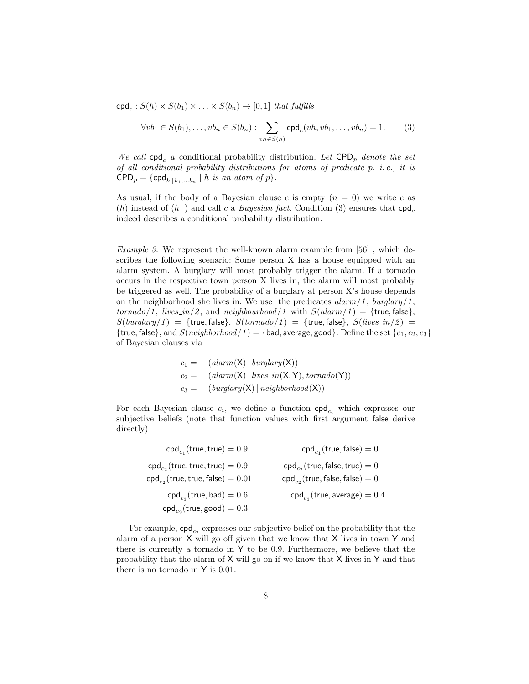$\mathsf{cpd}_c : S(h) \times S(b_1) \times \ldots \times S(b_n) \to [0,1]$  that fulfills

$$
\forall vb_1 \in S(b_1), \dots, vb_n \in S(b_n) : \sum_{vh \in S(h)} \text{cpd}_c(vh, vb_1, \dots, vb_n) = 1.
$$
 (3)

We call  $\text{cpd}_c$  a conditional probability distribution. Let  $\text{CPD}_p$  denote the set of all conditional probability distributions for atoms of predicate p, i. e., it is  $\text{CPD}_p = \{\text{cpd}_{h \, | \, b_1, \ldots b_n} \mid h \text{ is an atom of } p\}.$ 

As usual, if the body of a Bayesian clause c is empty  $(n = 0)$  we write c as (h) instead of (h|) and call c a Bayesian fact. Condition (3) ensures that  $\mathsf{cpd}_c$ indeed describes a conditional probability distribution.

*Example 3.* We represent the well-known alarm example from [56], which describes the following scenario: Some person X has a house equipped with an alarm system. A burglary will most probably trigger the alarm. If a tornado occurs in the respective town person X lives in, the alarm will most probably be triggered as well. The probability of a burglary at person X's house depends on the neighborhood she lives in. We use the predicates  $alam/1$ ,  $burglary/1$ ,  $tornado/1$ ,  $lives_in/2$ , and  $neighbourhood/1$  with  $S(alarm/1) = {true, false},$  $S(burglary/1) = {true, false}, S(tornado/1) = {true, false}, S(lives_in/2) =$ {true, false}, and  $S(neighbourhood/1) = \{bad, average, good\}$ . Define the set  $\{c_1, c_2, c_3\}$ of Bayesian clauses via

$$
c_1 = (alarm(X) | burglary(X))
$$
  
\n
$$
c_2 = (alarm(X) | lives_in(X, Y), tornado(Y))
$$
  
\n
$$
c_3 = (burglary(X) | neighborhood(X))
$$

For each Bayesian clause  $c_i$ , we define a function  $\text{cpd}_{c_i}$  which expresses our subjective beliefs (note that function values with first argument false derive directly)

| $\mathsf{cpd}_{c_1}(\mathsf{true},\mathsf{true})=0.9$                 | $\mathsf{cpd}_{c_1}(\mathsf{true},\mathsf{false})=0$       |
|-----------------------------------------------------------------------|------------------------------------------------------------|
| $cpd_{cs}$ (true, true, true) = 0.9                                   | $cpd_{cs}$ (true, false, true) = 0                         |
| $\mathsf{cpd}_{c_2}(\mathsf{true},\mathsf{true},\mathsf{false})=0.01$ | $cpd_{cs}$ (true, false, false) = 0                        |
| $\mathsf{cpd}_{c_3}(\mathsf{true}, \mathsf{bad}) = 0.6$               | $\mathsf{cpd}_{cs}(\mathsf{true}, \mathsf{average}) = 0.4$ |
| $\text{cpd}_{cs}(\text{true}, \text{good}) = 0.3$                     |                                                            |

For example,  $\mathsf{cpd}_{c_2}$  expresses our subjective belief on the probability that the alarm of a person X will go off given that we know that X lives in town Y and there is currently a tornado in Y to be 0.9. Furthermore, we believe that the probability that the alarm of X will go on if we know that X lives in Y and that there is no tornado in Y is 0.01.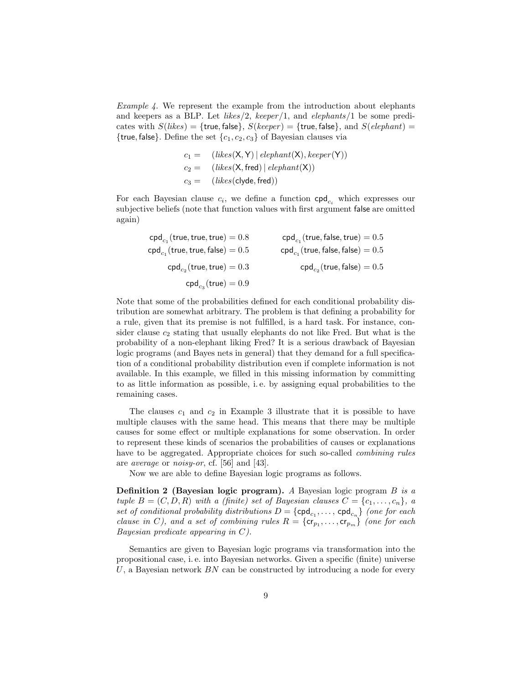*Example 4.* We represent the example from the introduction about elephants and keepers as a BLP. Let  $likes/2$ ,  $keeper/1$ , and  $elephants/1$  be some predicates with  $S(likes) = {true, false}, S(keeper) = {true, false}, and S(elephant) =$ {true, false}. Define the set  $\{c_1, c_2, c_3\}$  of Bayesian clauses via

$$
c_1 = (likes(X, Y) | elephant(X), keeper(Y))
$$
  
\n
$$
c_2 = (likes(X, freq) | elephant(X))
$$
  
\n
$$
c_3 = (likes(clyde, freq))
$$

For each Bayesian clause  $c_i$ , we define a function  $\text{cpd}_{c_i}$  which expresses our subjective beliefs (note that function values with first argument false are omitted again)

| $\textsf{cpd}_{c_1}(\textsf{true},\textsf{true},\textsf{true})=0.8$  | $cpd_{c_1}$ (true, false, true) = $0.5$                               |
|----------------------------------------------------------------------|-----------------------------------------------------------------------|
| $\mathsf{cpd}_{c_1}(\mathsf{true},\mathsf{true},\mathsf{false})=0.5$ | $\mathsf{cpd}_{c_1}(\mathsf{true},\mathsf{false},\mathsf{false})=0.5$ |
| $cpd_{c_2}$ (true, true) = 0.3                                       | $\text{cpd}_{c_2}(\text{true},\text{false})=0.5$                      |
| $\mathsf{cpd}_{c_3}(\mathsf{true})=0.9$                              |                                                                       |

Note that some of the probabilities defined for each conditional probability distribution are somewhat arbitrary. The problem is that defining a probability for a rule, given that its premise is not fulfilled, is a hard task. For instance, consider clause  $c_2$  stating that usually elephants do not like Fred. But what is the probability of a non-elephant liking Fred? It is a serious drawback of Bayesian logic programs (and Bayes nets in general) that they demand for a full specification of a conditional probability distribution even if complete information is not available. In this example, we filled in this missing information by committing to as little information as possible, i. e. by assigning equal probabilities to the remaining cases.

The clauses  $c_1$  and  $c_2$  in Example 3 illustrate that it is possible to have multiple clauses with the same head. This means that there may be multiple causes for some effect or multiple explanations for some observation. In order to represent these kinds of scenarios the probabilities of causes or explanations have to be aggregated. Appropriate choices for such so-called *combining rules* are average or noisy-or, cf. [56] and [43].

Now we are able to define Bayesian logic programs as follows.

**Definition 2 (Bayesian logic program).** A Bayesian logic program  $B$  is a tuple  $B = (C, D, R)$  with a (finite) set of Bayesian clauses  $C = \{c_1, \ldots, c_n\}$ , a set of conditional probability distributions  $D = \{ \text{cpd}_{c_1}, \ldots, \text{cpd}_{c_n} \}$  (one for each clause in C), and a set of combining rules  $R = \{ \mathsf{cr}_{p_1}, \ldots, \mathsf{cr}_{p_m} \}$  (one for each Bayesian predicate appearing in C).

Semantics are given to Bayesian logic programs via transformation into the propositional case, i. e. into Bayesian networks. Given a specific (finite) universe U, a Bayesian network  $BN$  can be constructed by introducing a node for every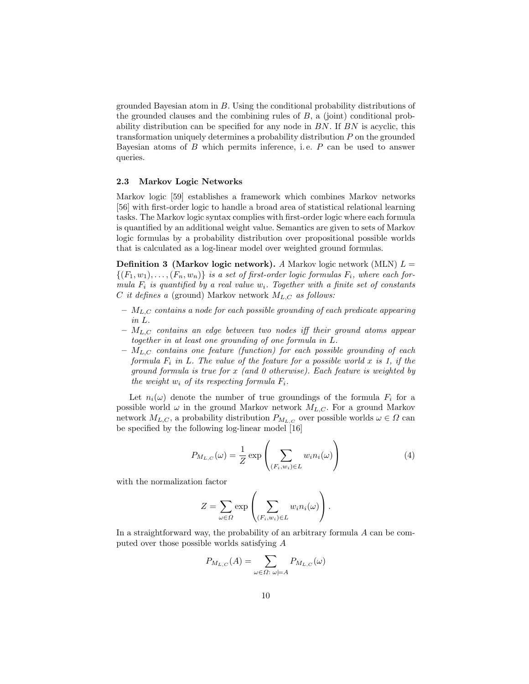grounded Bayesian atom in B. Using the conditional probability distributions of the grounded clauses and the combining rules of  $B$ , a (joint) conditional probability distribution can be specified for any node in  $BN$ . If  $BN$  is acyclic, this transformation uniquely determines a probability distribution  $P$  on the grounded Bayesian atoms of  $B$  which permits inference, i.e.  $P$  can be used to answer queries.

### 2.3 Markov Logic Networks

Markov logic [59] establishes a framework which combines Markov networks [56] with first-order logic to handle a broad area of statistical relational learning tasks. The Markov logic syntax complies with first-order logic where each formula is quantified by an additional weight value. Semantics are given to sets of Markov logic formulas by a probability distribution over propositional possible worlds that is calculated as a log-linear model over weighted ground formulas.

**Definition 3** (Markov logic network). A Markov logic network (MLN)  $L =$  $\{(F_1, w_1), \ldots, (F_n, w_n)\}\$ is a set of first-order logic formulas  $F_i$ , where each formula  $F_i$  is quantified by a real value  $w_i$ . Together with a finite set of constants C it defines a (ground) Markov network  $M_{L,C}$  as follows:

- $M_{L,C}$  contains a node for each possible grounding of each predicate appearing in L.
- $M_{L,C}$  contains an edge between two nodes iff their ground atoms appear together in at least one grounding of one formula in L.
- $M_{L,C}$  contains one feature (function) for each possible grounding of each formula  $F_i$  in L. The value of the feature for a possible world x is 1, if the ground formula is true for  $x$  (and  $\theta$  otherwise). Each feature is weighted by the weight  $w_i$  of its respecting formula  $F_i$ .

Let  $n_i(\omega)$  denote the number of true groundings of the formula  $F_i$  for a possible world  $\omega$  in the ground Markov network  $M_{L,C}$ . For a ground Markov network  $M_{L,C}$ , a probability distribution  $P_{M_{L,C}}$  over possible worlds  $\omega \in \Omega$  can be specified by the following log-linear model [16]

$$
P_{M_{L,C}}(\omega) = \frac{1}{Z} \exp\left(\sum_{(F_i, w_i) \in L} w_i n_i(\omega)\right) \tag{4}
$$

with the normalization factor

$$
Z = \sum_{\omega \in \Omega} \exp \left( \sum_{(F_i, w_i) \in L} w_i n_i(\omega) \right).
$$

In a straightforward way, the probability of an arbitrary formula A can be computed over those possible worlds satisfying A

$$
P_{M_{L,C}}(A) = \sum_{\omega \in \Omega: \omega \models A} P_{M_{L,C}}(\omega)
$$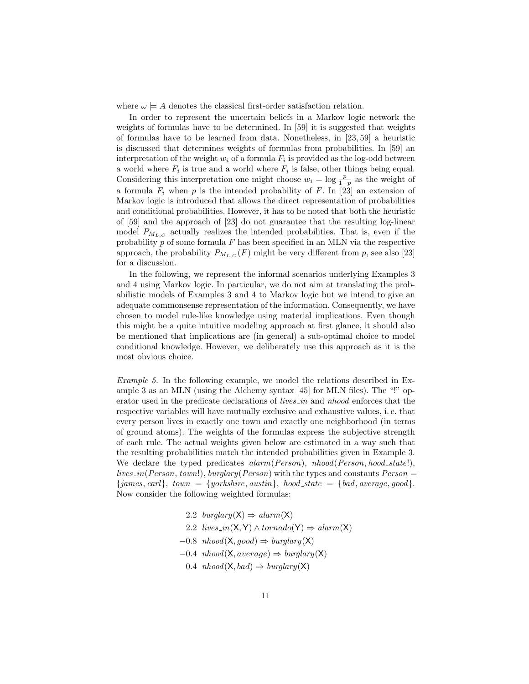where  $\omega \models A$  denotes the classical first-order satisfaction relation.

In order to represent the uncertain beliefs in a Markov logic network the weights of formulas have to be determined. In [59] it is suggested that weights of formulas have to be learned from data. Nonetheless, in [23, 59] a heuristic is discussed that determines weights of formulas from probabilities. In [59] an interpretation of the weight  $w_i$  of a formula  $F_i$  is provided as the log-odd between a world where  $F_i$  is true and a world where  $F_i$  is false, other things being equal. Considering this interpretation one might choose  $w_i = \log \frac{p}{1-p}$  as the weight of a formula  $F_i$  when p is the intended probability of F. In  $[25]$  an extension of Markov logic is introduced that allows the direct representation of probabilities and conditional probabilities. However, it has to be noted that both the heuristic of [59] and the approach of [23] do not guarantee that the resulting log-linear model  $P_{M_{L,C}}$  actually realizes the intended probabilities. That is, even if the probability  $p$  of some formula  $F$  has been specified in an MLN via the respective approach, the probability  $P_{M_{L,C}}(F)$  might be very different from p, see also [23] for a discussion.

In the following, we represent the informal scenarios underlying Examples 3 and 4 using Markov logic. In particular, we do not aim at translating the probabilistic models of Examples 3 and 4 to Markov logic but we intend to give an adequate commonsense representation of the information. Consequently, we have chosen to model rule-like knowledge using material implications. Even though this might be a quite intuitive modeling approach at first glance, it should also be mentioned that implications are (in general) a sub-optimal choice to model conditional knowledge. However, we deliberately use this approach as it is the most obvious choice.

Example 5. In the following example, we model the relations described in Example 3 as an MLN (using the Alchemy syntax [45] for MLN files). The "!" operator used in the predicate declarations of *lives in* and *nhood* enforces that the respective variables will have mutually exclusive and exhaustive values, i. e. that every person lives in exactly one town and exactly one neighborhood (in terms of ground atoms). The weights of the formulas express the subjective strength of each rule. The actual weights given below are estimated in a way such that the resulting probabilities match the intended probabilities given in Example 3. We declare the typed predicates  $alarm(Person)$ ,  $nhood(Person, hood\_state!)$ , lives in (Person, town!), burglary (Person) with the types and constants  $Person =$  ${\{james, carl\}}, \, \, {\it town} \, = \, {\{yorkshire, austin\}}, \, \, {\it hood\_state} \, = \, {\{bad, average, good\}}.$ Now consider the following weighted formulas:

> 2.2 burglary(X)  $\Rightarrow$  alarm(X) 2.2  $lives_in(X, Y) \wedge tornado(Y) \Rightarrow alarm(X)$  $-0.8 \; n \text{hood}(X, \text{good}) \Rightarrow \text{burglary}(X)$  $-0.4 \; nhood(X, average) \Rightarrow burglary(X)$ 0.4  $\operatorname{nhood}(X, \operatorname{bad}) \Rightarrow \operatorname{burglary}(X)$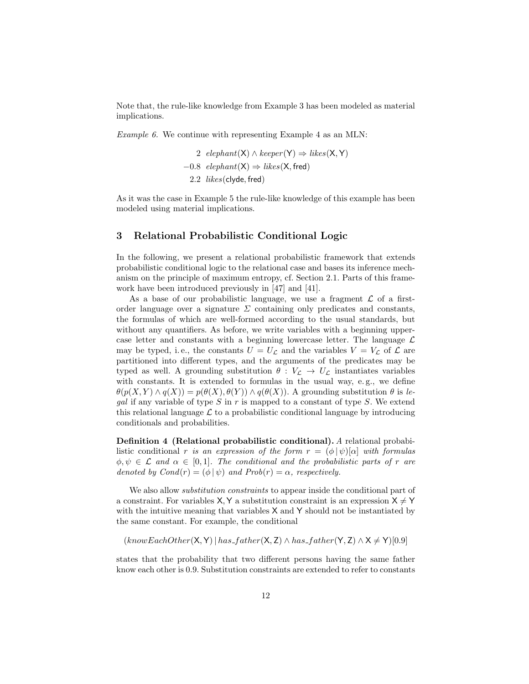Note that, the rule-like knowledge from Example 3 has been modeled as material implications.

Example 6. We continue with representing Example 4 as an MLN:

2 
$$
elephant(X) \wedge keeper(Y) \Rightarrow likes(X, Y)
$$
  
-0.8  $elephant(X) \Rightarrow likes(X, fred)$   
2.2 *likes*(clyde, fred)

As it was the case in Example 5 the rule-like knowledge of this example has been modeled using material implications.

# 3 Relational Probabilistic Conditional Logic

In the following, we present a relational probabilistic framework that extends probabilistic conditional logic to the relational case and bases its inference mechanism on the principle of maximum entropy, cf. Section 2.1. Parts of this framework have been introduced previously in [47] and [41].

As a base of our probabilistic language, we use a fragment  $\mathcal L$  of a firstorder language over a signature  $\Sigma$  containing only predicates and constants, the formulas of which are well-formed according to the usual standards, but without any quantifiers. As before, we write variables with a beginning uppercase letter and constants with a beginning lowercase letter. The language  $\mathcal L$ may be typed, i.e., the constants  $U = U_{\mathcal{L}}$  and the variables  $V = V_{\mathcal{L}}$  of  $\mathcal{L}$  are partitioned into different types, and the arguments of the predicates may be typed as well. A grounding substitution  $\theta : V_L \to U_L$  instantiates variables with constants. It is extended to formulas in the usual way, e.g., we define  $\theta(p(X, Y) \wedge q(X)) = p(\theta(X), \theta(Y)) \wedge q(\theta(X)).$  A grounding substitution  $\theta$  is legal if any variable of type  $S$  in  $r$  is mapped to a constant of type  $S$ . We extend this relational language  $\mathcal L$  to a probabilistic conditional language by introducing conditionals and probabilities.

Definition 4 (Relational probabilistic conditional). A relational probabilistic conditional r is an expression of the form  $r = (\phi | \psi) [\alpha]$  with formulas  $\phi, \psi \in \mathcal{L}$  and  $\alpha \in [0, 1]$ . The conditional and the probabilistic parts of r are denoted by  $Cond(r)=(\phi|\psi)$  and  $Prob(r)=\alpha$ , respectively.

We also allow *substitution constraints* to appear inside the conditional part of a constraint. For variables  $X, Y$  a substitution constraint is an expression  $X \neq Y$ with the intuitive meaning that variables  $X$  and Y should not be instantiated by the same constant. For example, the conditional

```
(knowEachOther(X, Y) | has_father(X, Z) \wedge has_father(Y, Z) \wedge X \neq Y)[0.9]
```
states that the probability that two different persons having the same father know each other is 0.9. Substitution constraints are extended to refer to constants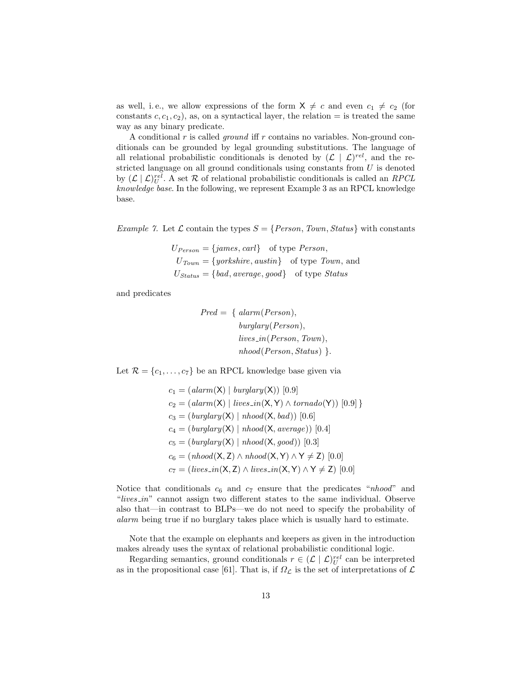as well, i.e., we allow expressions of the form  $X \neq c$  and even  $c_1 \neq c_2$  (for constants  $c, c_1, c_2$ , as, on a syntactical layer, the relation = is treated the same way as any binary predicate.

A conditional  $r$  is called *ground* iff  $r$  contains no variables. Non-ground conditionals can be grounded by legal grounding substitutions. The language of all relational probabilistic conditionals is denoted by  $(L | \mathcal{L})^{rel}$ , and the restricted language on all ground conditionals using constants from  $U$  is denoted by  $(L | L)_{U}^{rel}$ . A set  $R$  of relational probabilistic conditionals is called an  $RPCL$ knowledge base. In the following, we represent Example 3 as an RPCL knowledge base.

*Example 7.* Let  $\mathcal L$  contain the types  $S = \{Person, Town, Status\}$  with constants

$$
U_{Person} = \{james, carl\} \text{ of type } Person,
$$
  
\n
$$
U_{Toun} = \{yorkshire, austin\} \text{ of type } Town, \text{ and}
$$
  
\n
$$
U_{Status} = \{bad, average, good\} \text{ of type } Status
$$

and predicates

 $Pred = \{ alarm(Person),$ burglary(Person), lives in(Person, Town),  $nhood(Person, Status)$ .

Let  $\mathcal{R} = \{c_1, \ldots, c_7\}$  be an RPCL knowledge base given via

$$
c_1 = (alarm(X) | burglary(X)) [0.9]
$$
  
\n
$$
c_2 = (alarm(X) | lives_in(X, Y) \land tornado(Y)) [0.9]
$$
  
\n
$$
c_3 = (burglary(X) | nhood(X, bad)) [0.6]
$$
  
\n
$$
c_4 = (burglary(X) | nhood(X, average)) [0.4]
$$
  
\n
$$
c_5 = (burglary(X) | nhood(X, good)) [0.3]
$$
  
\n
$$
c_6 = (nhood(X, Z) \land nhood(X, Y) \land Y \neq Z) [0.0]
$$
  
\n
$$
c_7 = (lives_in(X, Z) \land lives_in(X, Y) \land Y \neq Z) [0.0]
$$

Notice that conditionals  $c_6$  and  $c_7$  ensure that the predicates "nhood" and "lives in" cannot assign two different states to the same individual. Observe also that—in contrast to BLPs—we do not need to specify the probability of alarm being true if no burglary takes place which is usually hard to estimate.

Note that the example on elephants and keepers as given in the introduction makes already uses the syntax of relational probabilistic conditional logic.

Regarding semantics, ground conditionals  $r \in (\mathcal{L} \mid \mathcal{L})_U^{rel}$  can be interpreted as in the propositional case [61]. That is, if  $\Omega_{\mathcal{L}}$  is the set of interpretations of  $\mathcal{L}$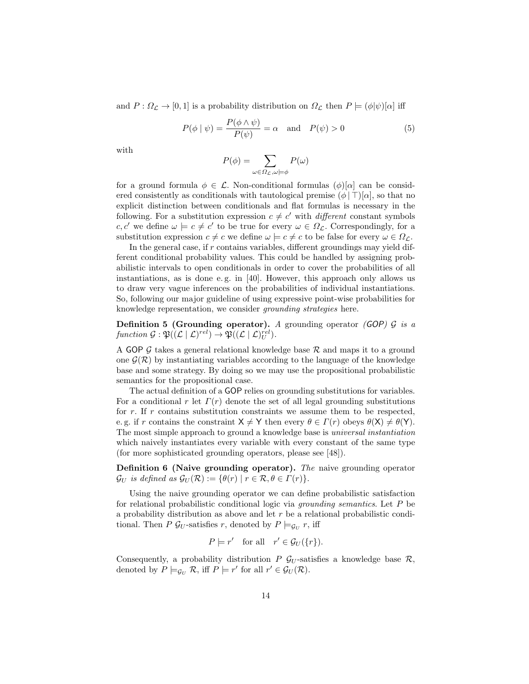and  $P: \Omega_{\mathcal{L}} \to [0,1]$  is a probability distribution on  $\Omega_{\mathcal{L}}$  then  $P \models (\phi | \psi) [\alpha]$  iff

$$
P(\phi \mid \psi) = \frac{P(\phi \land \psi)}{P(\psi)} = \alpha \quad \text{and} \quad P(\psi) > 0 \tag{5}
$$

with

$$
P(\phi) = \sum_{\omega \in \Omega_L, \omega \models \phi} P(\omega)
$$

for a ground formula  $\phi \in \mathcal{L}$ . Non-conditional formulas  $(\phi)[\alpha]$  can be considered consistently as conditionals with tautological premise  $(\phi | \top) [\alpha]$ , so that no explicit distinction between conditionals and flat formulas is necessary in the following. For a substitution expression  $c \neq c'$  with *different* constant symbols c, c' we define  $\omega \models c \neq c'$  to be true for every  $\omega \in \Omega_{\mathcal{L}}$ . Correspondingly, for a substitution expression  $c \neq c$  we define  $\omega \models c \neq c$  to be false for every  $\omega \in \Omega_{\mathcal{L}}$ .

In the general case, if r contains variables, different groundings may yield different conditional probability values. This could be handled by assigning probabilistic intervals to open conditionals in order to cover the probabilities of all instantiations, as is done e.g. in [40]. However, this approach only allows us to draw very vague inferences on the probabilities of individual instantiations. So, following our major guideline of using expressive point-wise probabilities for knowledge representation, we consider grounding strategies here.

**Definition 5 (Grounding operator).** A grounding operator (GOP)  $\mathcal{G}$  is a function  $\mathcal{G}: \mathfrak{P}((\mathcal{L} \mid \mathcal{L})^{rel}) \to \mathfrak{P}((\mathcal{L} \mid \mathcal{L})^{rel}_{U}).$ 

A GOP  $\mathcal G$  takes a general relational knowledge base  $\mathcal R$  and maps it to a ground one  $\mathcal{G}(\mathcal{R})$  by instantiating variables according to the language of the knowledge base and some strategy. By doing so we may use the propositional probabilistic semantics for the propositional case.

The actual definition of a GOP relies on grounding substitutions for variables. For a conditional r let  $\Gamma(r)$  denote the set of all legal grounding substitutions for r. If r contains substitution constraints we assume them to be respected, e. g. if r contains the constraint  $X \neq Y$  then every  $\theta \in \Gamma(r)$  obeys  $\theta(X) \neq \theta(Y)$ . The most simple approach to ground a knowledge base is universal instantiation which naively instantiates every variable with every constant of the same type (for more sophisticated grounding operators, please see [48]).

Definition 6 (Naive grounding operator). The naive grounding operator  $\mathcal{G}_U$  is defined as  $\mathcal{G}_U(\mathcal{R}) := \{ \theta(r) \mid r \in \mathcal{R}, \theta \in \Gamma(r) \}.$ 

Using the naive grounding operator we can define probabilistic satisfaction for relational probabilistic conditional logic via grounding semantics. Let P be a probability distribution as above and let r be a relational probabilistic conditional. Then  $P \mathcal{G}_U$ -satisfies r, denoted by  $P \models_{\mathcal{G}_U} r$ , iff

$$
P \models r' \quad \text{for all} \quad r' \in \mathcal{G}_U(\{r\}).
$$

Consequently, a probability distribution P  $\mathcal{G}_U$ -satisfies a knowledge base R, denoted by  $P \models_{\mathcal{G}_U} \mathcal{R}$ , iff  $P \models r'$  for all  $r' \in \mathcal{G}_U(\mathcal{R})$ .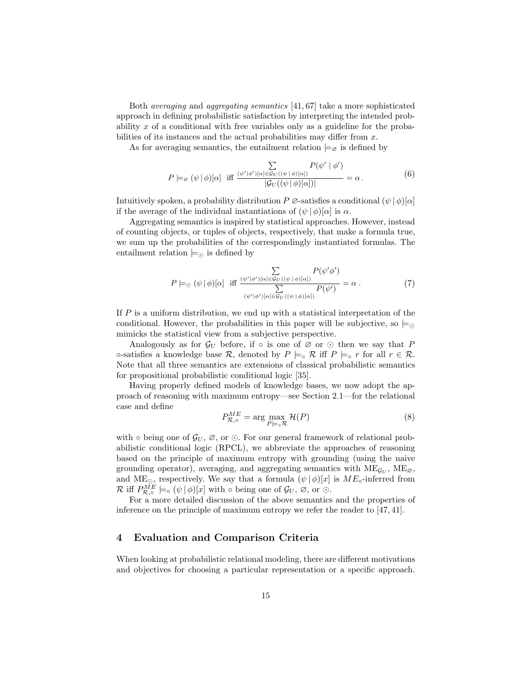Both averaging and aggregating semantics [41, 67] take a more sophisticated approach in defining probabilistic satisfaction by interpreting the intended probability x of a conditional with free variables only as a guideline for the probabilities of its instances and the actual probabilities may differ from x.

As for averaging semantics, the entailment relation  $\models_{\emptyset}$  is defined by

$$
P \models_{\varnothing} (\psi \mid \phi)[\alpha] \quad \text{iff} \quad \frac{\sum\limits_{(\psi' \mid \phi')[\alpha] \in \mathcal{G}_U((\psi \mid \phi)[\alpha])} P(\psi' \mid \phi')}{|\mathcal{G}_U((\psi \mid \phi)[\alpha])|} = \alpha \,.
$$

Intuitively spoken, a probability distribution P  $\varnothing$ -satisfies a conditional  $(\psi | \phi) [\alpha]$ if the average of the individual instantiations of  $(\psi | \phi) [\alpha]$  is  $\alpha$ .

Aggregating semantics is inspired by statistical approaches. However, instead of counting objects, or tuples of objects, respectively, that make a formula true, we sum up the probabilities of the correspondingly instantiated formulas. The entailment relation  $\models_{\bigcirc}$  is defined by

$$
P \models_{\odot} (\psi \mid \phi)[\alpha] \quad \text{iff} \quad \frac{\sum\limits_{(\psi' \mid \phi')[\alpha] \in \mathcal{G}_U((\psi \mid \phi)[\alpha])} P(\psi' \phi')}{\sum\limits_{(\psi' \mid \phi')[\alpha] \in \mathcal{G}_U((\psi \mid \phi)[\alpha])} P(\psi')} = \alpha \ . \tag{7}
$$

If  $P$  is a uniform distribution, we end up with a statistical interpretation of the conditional. However, the probabilities in this paper will be subjective, so  $\models_{\bigcirc}$ mimicks the statistical view from a subjective perspective.

Analogously as for  $\mathcal{G}_U$  before, if  $\circ$  is one of  $\varnothing$  or  $\odot$  then we say that P •-satisfies a knowledge base R, denoted by  $P \models_{\circ} R$  iff  $P \models_{\circ} r$  for all  $r \in \mathcal{R}$ . Note that all three semantics are extensions of classical probabilistic semantics for propositional probabilistic conditional logic [35].

Having properly defined models of knowledge bases, we now adopt the approach of reasoning with maximum entropy—see Section 2.1—for the relational case and define

$$
P_{\mathcal{R},\circ}^{ME} = \arg\max_{P \models \circ \mathcal{R}} \mathcal{H}(P) \tag{8}
$$

with  $\circ$  being one of  $\mathcal{G}_U$ ,  $\varnothing$ , or  $\odot$ . For our general framework of relational probabilistic conditional logic (RPCL), we abbreviate the approaches of reasoning based on the principle of maximum entropy with grounding (using the naive grounding operator), averaging, and aggregating semantics with  $ME_{\mathcal{G}_U}$ ,  $ME_{\varnothing}$ , and ME<sub> $\odot$ </sub>, respectively. We say that a formula  $(\psi | \phi) [x]$  is  $ME<sub>o</sub>$ -inferred from R iff  $P_{\mathcal{R},\circ}^{\tilde{ME}} \models_{\circ} (\psi \,|\, \phi)[x]$  with  $\circ$  being one of  $\mathcal{G}_U, \varnothing, \text{ or } \odot$ .

For a more detailed discussion of the above semantics and the properties of inference on the principle of maximum entropy we refer the reader to [47, 41].

### 4 Evaluation and Comparison Criteria

When looking at probabilistic relational modeling, there are different motivations and objectives for choosing a particular representation or a specific approach.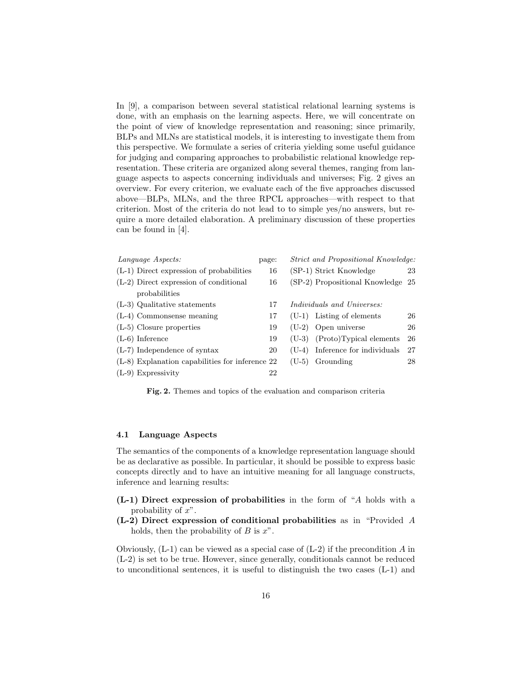In [9], a comparison between several statistical relational learning systems is done, with an emphasis on the learning aspects. Here, we will concentrate on the point of view of knowledge representation and reasoning; since primarily, BLPs and MLNs are statistical models, it is interesting to investigate them from this perspective. We formulate a series of criteria yielding some useful guidance for judging and comparing approaches to probabilistic relational knowledge representation. These criteria are organized along several themes, ranging from language aspects to aspects concerning individuals and universes; Fig. 2 gives an overview. For every criterion, we evaluate each of the five approaches discussed above—BLPs, MLNs, and the three RPCL approaches—with respect to that criterion. Most of the criteria do not lead to to simple yes/no answers, but require a more detailed elaboration. A preliminary discussion of these properties can be found in [4].

| Language Aspects:                                 | page: |         | Strict and Propositional Knowledge: |    |
|---------------------------------------------------|-------|---------|-------------------------------------|----|
| $(L-1)$ Direct expression of probabilities        | 16    |         | (SP-1) Strict Knowledge             | 23 |
| $(L-2)$ Direct expression of conditional          | 16    |         | (SP-2) Propositional Knowledge 25   |    |
| probabilities                                     |       |         |                                     |    |
| $(L-3)$ Qualitative statements                    | 17    |         | Individuals and Universes:          |    |
| $(L-4)$ Commonsense meaning                       | 17    |         | $(U-1)$ Listing of elements         | 26 |
| $(L-5)$ Closure properties                        | 19    |         | $(U-2)$ Open universe               | 26 |
| $(L-6)$ Inference                                 | 19    |         | $(U-3)$ (Proto) Typical elements    | 26 |
| $(L-7)$ Independence of syntax                    | 20    |         | (U-4) Inference for individuals     | 27 |
| $(L-8)$ Explanation capabilities for inference 22 |       | $(U-5)$ | Grounding                           | 28 |
| $(L-9)$ Expressivity                              | 22    |         |                                     |    |

Fig. 2. Themes and topics of the evaluation and comparison criteria

#### 4.1 Language Aspects

The semantics of the components of a knowledge representation language should be as declarative as possible. In particular, it should be possible to express basic concepts directly and to have an intuitive meaning for all language constructs, inference and learning results:

- (L-1) Direct expression of probabilities in the form of "A holds with a probability of  $x$ ".
- (L-2) Direct expression of conditional probabilities as in "Provided A holds, then the probability of  $B$  is  $x$ ".

Obviously,  $(L-1)$  can be viewed as a special case of  $(L-2)$  if the precondition A in (L-2) is set to be true. However, since generally, conditionals cannot be reduced to unconditional sentences, it is useful to distinguish the two cases (L-1) and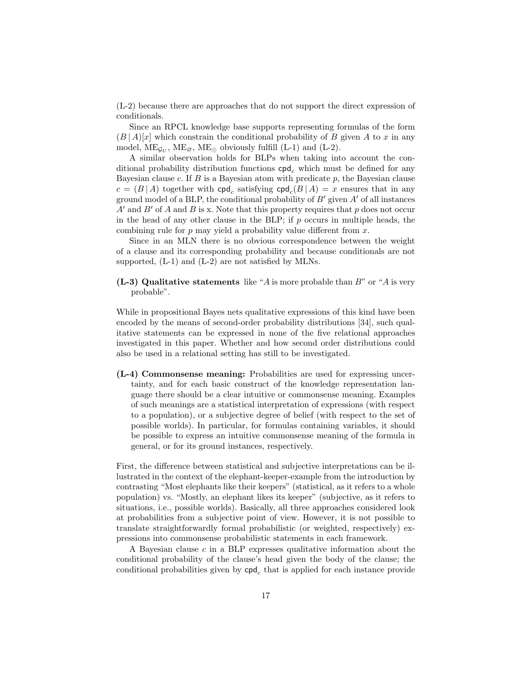(L-2) because there are approaches that do not support the direct expression of conditionals.

Since an RPCL knowledge base supports representing formulas of the form  $(B | A)[x]$  which constrain the conditional probability of B given A to x in any model,  $ME_{\mathcal{G}_U}$ ,  $ME_{\emptyset}$ ,  $ME_{\odot}$  obviously fulfill (L-1) and (L-2).

A similar observation holds for BLPs when taking into account the conditional probability distribution functions  $\mathsf{cpd}_c$  which must be defined for any Bayesian clause  $c$ . If  $B$  is a Bayesian atom with predicate  $p$ , the Bayesian clause  $c = (B | A)$  together with  $\text{cpd}_c$  satisfying  $\text{cpd}_c(B | A) = x$  ensures that in any ground model of a BLP, the conditional probability of  $B'$  given  $A'$  of all instances  $A'$  and  $B'$  of A and B is x. Note that this property requires that p does not occur in the head of any other clause in the BLP; if  $p$  occurs in multiple heads, the combining rule for  $p$  may yield a probability value different from  $x$ .

Since in an MLN there is no obvious correspondence between the weight of a clause and its corresponding probability and because conditionals are not supported, (L-1) and (L-2) are not satisfied by MLNs.

(L-3) Qualitative statements like "A is more probable than  $B$ " or "A is very probable".

While in propositional Bayes nets qualitative expressions of this kind have been encoded by the means of second-order probability distributions [34], such qualitative statements can be expressed in none of the five relational approaches investigated in this paper. Whether and how second order distributions could also be used in a relational setting has still to be investigated.

(L-4) Commonsense meaning: Probabilities are used for expressing uncertainty, and for each basic construct of the knowledge representation language there should be a clear intuitive or commonsense meaning. Examples of such meanings are a statistical interpretation of expressions (with respect to a population), or a subjective degree of belief (with respect to the set of possible worlds). In particular, for formulas containing variables, it should be possible to express an intuitive commonsense meaning of the formula in general, or for its ground instances, respectively.

First, the difference between statistical and subjective interpretations can be illustrated in the context of the elephant-keeper-example from the introduction by contrasting "Most elephants like their keepers" (statistical, as it refers to a whole population) vs. "Mostly, an elephant likes its keeper" (subjective, as it refers to situations, i.e., possible worlds). Basically, all three approaches considered look at probabilities from a subjective point of view. However, it is not possible to translate straightforwardly formal probabilistic (or weighted, respectively) expressions into commonsense probabilistic statements in each framework.

A Bayesian clause c in a BLP expresses qualitative information about the conditional probability of the clause's head given the body of the clause; the conditional probabilities given by  $\mathsf{cpd}_c$  that is applied for each instance provide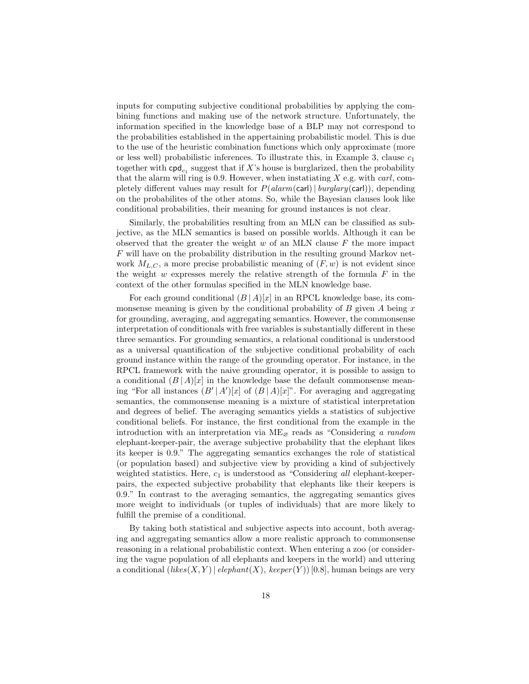inputs for computing subjective conditional probabilities by applying the combining functions and making use of the network structure. Unfortunately, the information specified in the knowledge base of a BLP may not correspond to the probabilities established in the appertaining probabilistic model. This is due to the use of the heuristic combination functions which only approximate (more or less well) probabilistic inferences. To illustrate this, in Example 3, clause  $c_1$ together with  $\mathsf{cpd}_{c_1}$  suggest that if X's house is burglarized, then the probability that the alarm will ring is 0.9. However, when instatiating  $X$  e.g. with *carl*, completely different values may result for  $P(alarm(\text{carl}) \mid burglary(\text{carl})$ , depending on the probabilites of the other atoms. So, while the Bayesian clauses look like conditional probabilities, their meaning for ground instances is not clear.

Similarly, the probabilities resulting from an MLN can be classified as subjective, as the MLN semantics is based on possible worlds. Although it can be observed that the greater the weight  $w$  of an MLN clause  $F$  the more impact F will have on the probability distribution in the resulting ground Markov network  $M_{L,C}$ , a more precise probabilistic meaning of  $(F, w)$  is not evident since the weight  $w$  expresses merely the relative strength of the formula  $F$  in the context of the other formulas specified in the MLN knowledge base.

For each ground conditional  $(B | A)[x]$  in an RPCL knowledge base, its commonsense meaning is given by the conditional probability of  $B$  given  $A$  being  $x$ for grounding, averaging, and aggregating semantics. However, the commonsense interpretation of conditionals with free variables is substantially different in these three semantics. For grounding semantics, a relational conditional is understood as a universal quantification of the subjective conditional probability of each ground instance within the range of the grounding operator. For instance, in the RPCL framework with the naive grounding operator, it is possible to assign to a conditional  $(B | A)[x]$  in the knowledge base the default commonsense meaning "For all instances  $(B' | A')[x]$  of  $(B | A)[x]$ ". For averaging and aggregating semantics, the commonsense meaning is a mixture of statistical interpretation and degrees of belief. The averaging semantics yields a statistics of subjective conditional beliefs. For instance, the first conditional from the example in the introduction with an interpretation via  $ME_{\emptyset}$  reads as "Considering a random elephant-keeper-pair, the average subjective probability that the elephant likes its keeper is 0.9." The aggregating semantics exchanges the role of statistical (or population based) and subjective view by providing a kind of subjectively weighted statistics. Here,  $c_1$  is understood as "Considering all elephant-keeperpairs, the expected subjective probability that elephants like their keepers is 0.9." In contrast to the averaging semantics, the aggregating semantics gives more weight to individuals (or tuples of individuals) that are more likely to fulfill the premise of a conditional.

By taking both statistical and subjective aspects into account, both averaging and aggregating semantics allow a more realistic approach to commonsense reasoning in a relational probabilistic context. When entering a zoo (or considering the vague population of all elephants and keepers in the world) and uttering a conditional (likes(X, Y) | elephant(X), keeper(Y)) [0.8], human beings are very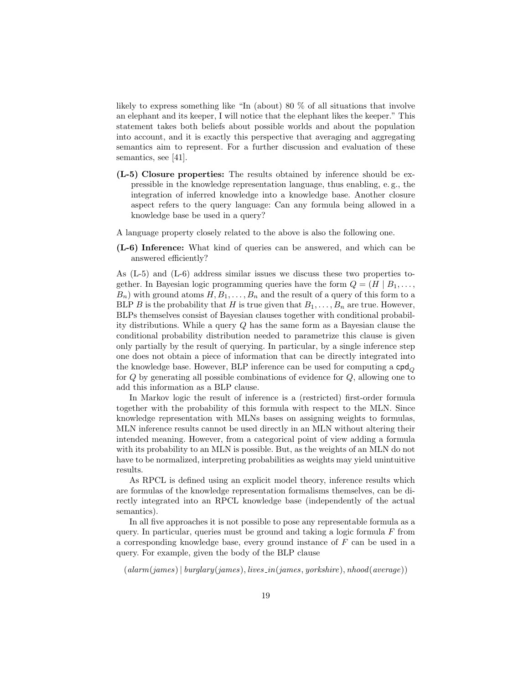likely to express something like "In (about) 80 % of all situations that involve an elephant and its keeper, I will notice that the elephant likes the keeper." This statement takes both beliefs about possible worlds and about the population into account, and it is exactly this perspective that averaging and aggregating semantics aim to represent. For a further discussion and evaluation of these semantics, see [41].

- (L-5) Closure properties: The results obtained by inference should be expressible in the knowledge representation language, thus enabling, e. g., the integration of inferred knowledge into a knowledge base. Another closure aspect refers to the query language: Can any formula being allowed in a knowledge base be used in a query?
- A language property closely related to the above is also the following one.
- (L-6) Inference: What kind of queries can be answered, and which can be answered efficiently?

As (L-5) and (L-6) address similar issues we discuss these two properties together. In Bayesian logic programming queries have the form  $Q = (H \mid B_1, \ldots,$  $B_n$ ) with ground atoms  $H, B_1, \ldots, B_n$  and the result of a query of this form to a BLP B is the probability that H is true given that  $B_1, \ldots, B_n$  are true. However, BLPs themselves consist of Bayesian clauses together with conditional probability distributions. While a query Q has the same form as a Bayesian clause the conditional probability distribution needed to parametrize this clause is given only partially by the result of querying. In particular, by a single inference step one does not obtain a piece of information that can be directly integrated into the knowledge base. However, BLP inference can be used for computing a  $\mathsf{cpd}_\mathcal{O}$ for Q by generating all possible combinations of evidence for Q, allowing one to add this information as a BLP clause.

In Markov logic the result of inference is a (restricted) first-order formula together with the probability of this formula with respect to the MLN. Since knowledge representation with MLNs bases on assigning weights to formulas, MLN inference results cannot be used directly in an MLN without altering their intended meaning. However, from a categorical point of view adding a formula with its probability to an MLN is possible. But, as the weights of an MLN do not have to be normalized, interpreting probabilities as weights may yield unintuitive results.

As RPCL is defined using an explicit model theory, inference results which are formulas of the knowledge representation formalisms themselves, can be directly integrated into an RPCL knowledge base (independently of the actual semantics).

In all five approaches it is not possible to pose any representable formula as a query. In particular, queries must be ground and taking a logic formula  $F$  from a corresponding knowledge base, every ground instance of F can be used in a query. For example, given the body of the BLP clause

 $(alarm(james)|$  burglary(james), lives  $_in(james, yorkshire)$ , nhood(average))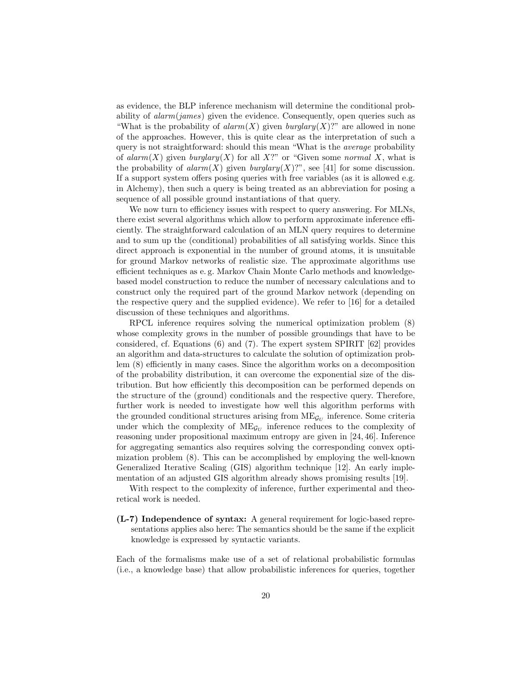as evidence, the BLP inference mechanism will determine the conditional probability of alarm(james) given the evidence. Consequently, open queries such as "What is the probability of  $alarm(X)$  given  $burglary(X)$ ?" are allowed in none of the approaches. However, this is quite clear as the interpretation of such a query is not straightforward: should this mean "What is the *average* probability of alarm $(X)$  given burglary $(X)$  for all  $X$ ?" or "Given some normal X, what is the probability of  $alarm(X)$  given  $burglary(X)$ ?", see [41] for some discussion. If a support system offers posing queries with free variables (as it is allowed e.g. in Alchemy), then such a query is being treated as an abbreviation for posing a sequence of all possible ground instantiations of that query.

We now turn to efficiency issues with respect to query answering. For MLNs, there exist several algorithms which allow to perform approximate inference efficiently. The straightforward calculation of an MLN query requires to determine and to sum up the (conditional) probabilities of all satisfying worlds. Since this direct approach is exponential in the number of ground atoms, it is unsuitable for ground Markov networks of realistic size. The approximate algorithms use efficient techniques as e. g. Markov Chain Monte Carlo methods and knowledgebased model construction to reduce the number of necessary calculations and to construct only the required part of the ground Markov network (depending on the respective query and the supplied evidence). We refer to [16] for a detailed discussion of these techniques and algorithms.

RPCL inference requires solving the numerical optimization problem (8) whose complexity grows in the number of possible groundings that have to be considered, cf. Equations (6) and (7). The expert system SPIRIT [62] provides an algorithm and data-structures to calculate the solution of optimization problem (8) efficiently in many cases. Since the algorithm works on a decomposition of the probability distribution, it can overcome the exponential size of the distribution. But how efficiently this decomposition can be performed depends on the structure of the (ground) conditionals and the respective query. Therefore, further work is needed to investigate how well this algorithm performs with the grounded conditional structures arising from  $ME_{\mathcal{G}_U}$  inference. Some criteria under which the complexity of  $ME_{\mathcal{G}_U}$  inference reduces to the complexity of reasoning under propositional maximum entropy are given in [24, 46]. Inference for aggregating semantics also requires solving the corresponding convex optimization problem (8). This can be accomplished by employing the well-known Generalized Iterative Scaling (GIS) algorithm technique [12]. An early implementation of an adjusted GIS algorithm already shows promising results [19].

With respect to the complexity of inference, further experimental and theoretical work is needed.

(L-7) Independence of syntax: A general requirement for logic-based representations applies also here: The semantics should be the same if the explicit knowledge is expressed by syntactic variants.

Each of the formalisms make use of a set of relational probabilistic formulas (i.e., a knowledge base) that allow probabilistic inferences for queries, together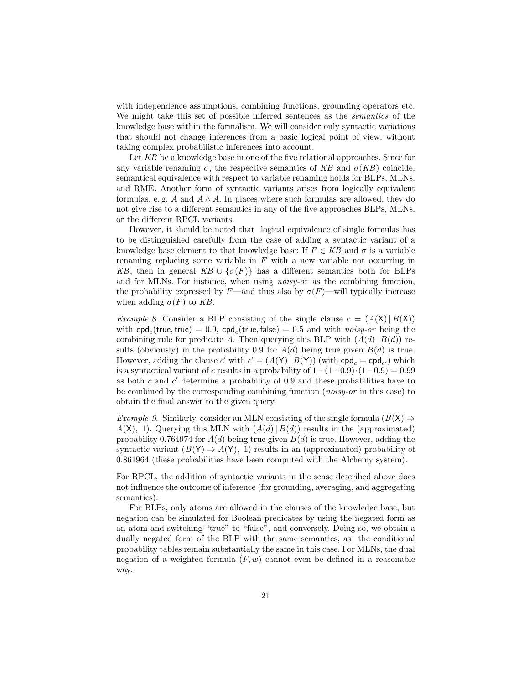with independence assumptions, combining functions, grounding operators etc. We might take this set of possible inferred sentences as the semantics of the knowledge base within the formalism. We will consider only syntactic variations that should not change inferences from a basic logical point of view, without taking complex probabilistic inferences into account.

Let KB be a knowledge base in one of the five relational approaches. Since for any variable renaming  $\sigma$ , the respective semantics of KB and  $\sigma(KB)$  coincide, semantical equivalence with respect to variable renaming holds for BLPs, MLNs, and RME. Another form of syntactic variants arises from logically equivalent formulas, e.g. A and  $A \wedge A$ . In places where such formulas are allowed, they do not give rise to a different semantics in any of the five approaches BLPs, MLNs, or the different RPCL variants.

However, it should be noted that logical equivalence of single formulas has to be distinguished carefully from the case of adding a syntactic variant of a knowledge base element to that knowledge base: If  $F \in KB$  and  $\sigma$  is a variable renaming replacing some variable in  $F$  with a new variable not occurring in KB, then in general  $KB \cup {\{\sigma(F)\}}$  has a different semantics both for BLPs and for MLNs. For instance, when using *noisy-or* as the combining function, the probability expressed by  $F$ —and thus also by  $\sigma(F)$ —will typically increase when adding  $\sigma(F)$  to KB.

Example 8. Consider a BLP consisting of the single clause  $c = (A(X) | B(X))$ with  $\mathsf{cpd}_c(\mathsf{true},\mathsf{true})=0.9$ ,  $\mathsf{cpd}_c(\mathsf{true},\mathsf{false})=0.5$  and with  $noisy\text{-}or$  being the combining rule for predicate A. Then querying this BLP with  $(A(d) | B(d))$  results (obviously) in the probability 0.9 for  $A(d)$  being true given  $B(d)$  is true. However, adding the clause  $c'$  with  $c' = (A(Y) | B(Y))$  (with  $\mathsf{cpd}_c = \mathsf{cpd}_{c'}$ ) which is a syntactical variant of c results in a probability of  $1-(1-0.9)\cdot(1-0.9) = 0.99$ as both  $c$  and  $c'$  determine a probability of 0.9 and these probabilities have to be combined by the corresponding combining function (noisy-or in this case) to obtain the final answer to the given query.

Example 9. Similarly, consider an MLN consisting of the single formula  $(B(X) \Rightarrow$  $A(X)$ , 1). Querying this MLN with  $(A(d) | B(d))$  results in the (approximated) probability 0.764974 for  $A(d)$  being true given  $B(d)$  is true. However, adding the syntactic variant  $(B(Y) \Rightarrow A(Y), 1)$  results in an (approximated) probability of 0.861964 (these probabilities have been computed with the Alchemy system).

For RPCL, the addition of syntactic variants in the sense described above does not influence the outcome of inference (for grounding, averaging, and aggregating semantics).

For BLPs, only atoms are allowed in the clauses of the knowledge base, but negation can be simulated for Boolean predicates by using the negated form as an atom and switching "true" to "false", and conversely. Doing so, we obtain a dually negated form of the BLP with the same semantics, as the conditional probability tables remain substantially the same in this case. For MLNs, the dual negation of a weighted formula  $(F, w)$  cannot even be defined in a reasonable way.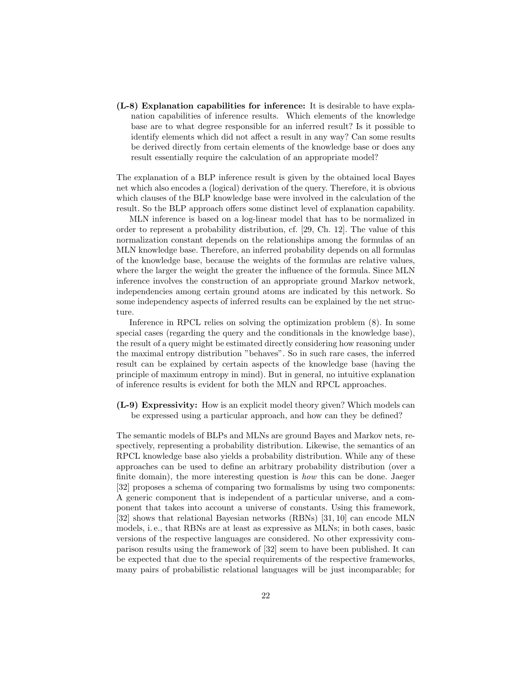(L-8) Explanation capabilities for inference: It is desirable to have explanation capabilities of inference results. Which elements of the knowledge base are to what degree responsible for an inferred result? Is it possible to identify elements which did not affect a result in any way? Can some results be derived directly from certain elements of the knowledge base or does any result essentially require the calculation of an appropriate model?

The explanation of a BLP inference result is given by the obtained local Bayes net which also encodes a (logical) derivation of the query. Therefore, it is obvious which clauses of the BLP knowledge base were involved in the calculation of the result. So the BLP approach offers some distinct level of explanation capability.

MLN inference is based on a log-linear model that has to be normalized in order to represent a probability distribution, cf. [29, Ch. 12]. The value of this normalization constant depends on the relationships among the formulas of an MLN knowledge base. Therefore, an inferred probability depends on all formulas of the knowledge base, because the weights of the formulas are relative values, where the larger the weight the greater the influence of the formula. Since MLN inference involves the construction of an appropriate ground Markov network, independencies among certain ground atoms are indicated by this network. So some independency aspects of inferred results can be explained by the net structure.

Inference in RPCL relies on solving the optimization problem (8). In some special cases (regarding the query and the conditionals in the knowledge base), the result of a query might be estimated directly considering how reasoning under the maximal entropy distribution "behaves". So in such rare cases, the inferred result can be explained by certain aspects of the knowledge base (having the principle of maximum entropy in mind). But in general, no intuitive explanation of inference results is evident for both the MLN and RPCL approaches.

(L-9) Expressivity: How is an explicit model theory given? Which models can be expressed using a particular approach, and how can they be defined?

The semantic models of BLPs and MLNs are ground Bayes and Markov nets, respectively, representing a probability distribution. Likewise, the semantics of an RPCL knowledge base also yields a probability distribution. While any of these approaches can be used to define an arbitrary probability distribution (over a finite domain), the more interesting question is *how* this can be done. Jaeger [32] proposes a schema of comparing two formalisms by using two components: A generic component that is independent of a particular universe, and a component that takes into account a universe of constants. Using this framework, [32] shows that relational Bayesian networks (RBNs) [31, 10] can encode MLN models, i. e., that RBNs are at least as expressive as MLNs; in both cases, basic versions of the respective languages are considered. No other expressivity comparison results using the framework of [32] seem to have been published. It can be expected that due to the special requirements of the respective frameworks, many pairs of probabilistic relational languages will be just incomparable; for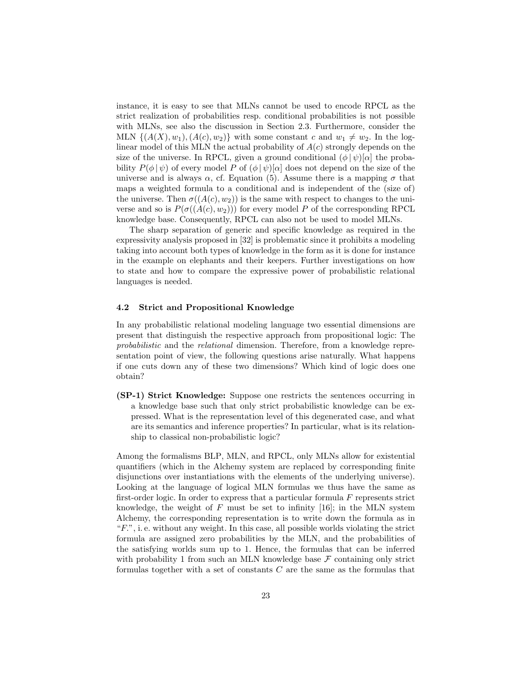instance, it is easy to see that MLNs cannot be used to encode RPCL as the strict realization of probabilities resp. conditional probabilities is not possible with MLNs, see also the discussion in Section 2.3. Furthermore, consider the MLN  $\{(A(X), w_1), (A(c), w_2)\}\$  with some constant c and  $w_1 \neq w_2$ . In the loglinear model of this MLN the actual probability of  $A(c)$  strongly depends on the size of the universe. In RPCL, given a ground conditional  $(\phi | \psi) [\alpha]$  the probability  $P(\phi | \psi)$  of every model P of  $(\phi | \psi) [\alpha]$  does not depend on the size of the universe and is always  $\alpha$ , cf. Equation (5). Assume there is a mapping  $\sigma$  that maps a weighted formula to a conditional and is independent of the (size of) the universe. Then  $\sigma((A(c), w_2))$  is the same with respect to changes to the universe and so is  $P(\sigma((A(c), w_2)))$  for every model P of the corresponding RPCL knowledge base. Consequently, RPCL can also not be used to model MLNs.

The sharp separation of generic and specific knowledge as required in the expressivity analysis proposed in [32] is problematic since it prohibits a modeling taking into account both types of knowledge in the form as it is done for instance in the example on elephants and their keepers. Further investigations on how to state and how to compare the expressive power of probabilistic relational languages is needed.

### 4.2 Strict and Propositional Knowledge

In any probabilistic relational modeling language two essential dimensions are present that distinguish the respective approach from propositional logic: The probabilistic and the relational dimension. Therefore, from a knowledge representation point of view, the following questions arise naturally. What happens if one cuts down any of these two dimensions? Which kind of logic does one obtain?

(SP-1) Strict Knowledge: Suppose one restricts the sentences occurring in a knowledge base such that only strict probabilistic knowledge can be expressed. What is the representation level of this degenerated case, and what are its semantics and inference properties? In particular, what is its relationship to classical non-probabilistic logic?

Among the formalisms BLP, MLN, and RPCL, only MLNs allow for existential quantifiers (which in the Alchemy system are replaced by corresponding finite disjunctions over instantiations with the elements of the underlying universe). Looking at the language of logical MLN formulas we thus have the same as first-order logic. In order to express that a particular formula  $F$  represents strict knowledge, the weight of  $F$  must be set to infinity [16]; in the MLN system Alchemy, the corresponding representation is to write down the formula as in "F.", i. e. without any weight. In this case, all possible worlds violating the strict formula are assigned zero probabilities by the MLN, and the probabilities of the satisfying worlds sum up to 1. Hence, the formulas that can be inferred with probability 1 from such an MLN knowledge base  $\mathcal F$  containing only strict formulas together with a set of constants C are the same as the formulas that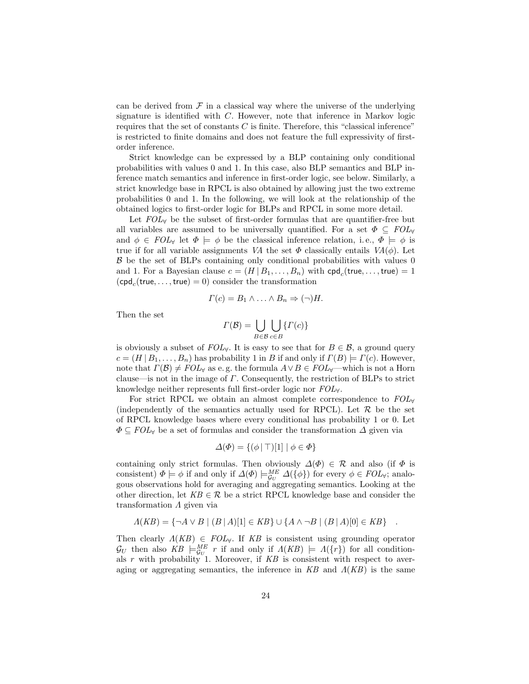can be derived from  $\mathcal F$  in a classical way where the universe of the underlying signature is identified with C. However, note that inference in Markov logic requires that the set of constants  $C$  is finite. Therefore, this "classical inference" is restricted to finite domains and does not feature the full expressivity of firstorder inference.

Strict knowledge can be expressed by a BLP containing only conditional probabilities with values 0 and 1. In this case, also BLP semantics and BLP inference match semantics and inference in first-order logic, see below. Similarly, a strict knowledge base in RPCL is also obtained by allowing just the two extreme probabilities 0 and 1. In the following, we will look at the relationship of the obtained logics to first-order logic for BLPs and RPCL in some more detail.

Let  $FOL<sub>\forall</sub>$  be the subset of first-order formulas that are quantifier-free but all variables are assumed to be universally quantified. For a set  $\Phi \subseteq \text{FOL}_{\forall}$ and  $\phi \in \text{FOL}_{\forall}$  let  $\Phi \models \phi$  be the classical inference relation, i.e.,  $\Phi \models \phi$  is true if for all variable assignments VA the set  $\Phi$  classically entails  $VA(\phi)$ . Let  $\beta$  be the set of BLPs containing only conditional probabilities with values 0 and 1. For a Bayesian clause  $c = (H | B_1, \ldots, B_n)$  with  $\mathsf{cpd}_c(\mathsf{true}, \ldots, \mathsf{true}) = 1$  $(\text{cpd}_c(\text{true}, \dots, \text{true}) = 0)$  consider the transformation

$$
\Gamma(c) = B_1 \wedge \ldots \wedge B_n \Rightarrow (\neg)H.
$$

Then the set

$$
\Gamma(\mathcal{B}) = \bigcup_{B \in \mathcal{B}} \bigcup_{c \in B} \{\Gamma(c)\}
$$

is obviously a subset of  $FOL_{\forall}$ . It is easy to see that for  $B \in \mathcal{B}$ , a ground query  $c = (H | B_1, \ldots, B_n)$  has probability 1 in B if and only if  $\Gamma(B) \models \Gamma(c)$ . However, note that  $\Gamma(\mathcal{B}) \neq \text{FOL}_{\forall}$  as e.g. the formula  $A \vee B \in \text{FOL}_{\forall}$ —which is not a Horn clause—is not in the image of Γ. Consequently, the restriction of BLPs to strict knowledge neither represents full first-order logic nor FOL∀.

For strict RPCL we obtain an almost complete correspondence to  $FOL$ (independently of the semantics actually used for RPCL). Let  $\mathcal{R}$  be the set of RPCL knowledge bases where every conditional has probability 1 or 0. Let  $\Phi \subseteq \text{FOL}_{\forall}$  be a set of formulas and consider the transformation  $\Delta$  given via

$$
\Delta(\Phi) = \{ (\phi \mid \top) [1] \mid \phi \in \Phi \}
$$

containing only strict formulas. Then obviously  $\Delta(\Phi) \in \mathcal{R}$  and also (if  $\Phi$  is consistent)  $\Phi \models \phi$  if and only if  $\Delta(\Phi) \models_{\mathcal{G}_U}^{ME} \Delta(\{\phi\})$  for every  $\phi \in \text{FOL}_{\forall}$ ; analogous observations hold for averaging and aggregating semantics. Looking at the other direction, let  $KB \in \mathcal{R}$  be a strict RPCL knowledge base and consider the transformation Λ given via

$$
A(KB) = \{ \neg A \lor B \mid (B \mid A)[1] \in KB \} \cup \{ A \land \neg B \mid (B \mid A)[0] \in KB \} .
$$

Then clearly  $\Lambda(KB) \in \text{FOL}_{\forall}$ . If KB is consistent using grounding operator  $\mathcal{G}_U$  then also  $KB \models_{\mathcal{G}_U}^{ME} r$  if and only if  $\Lambda(KB) \models \Lambda(\lbrace r \rbrace)$  for all conditionals  $r$  with probability 1. Moreover, if  $KB$  is consistent with respect to averaging or aggregating semantics, the inference in  $KB$  and  $\Lambda(KB)$  is the same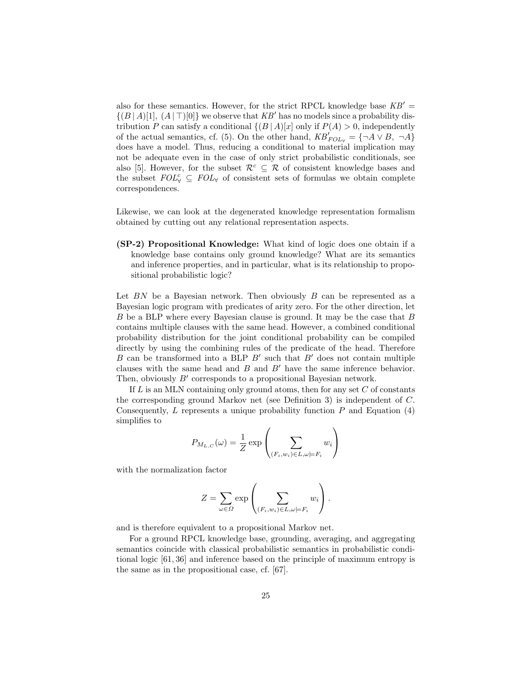also for these semantics. However, for the strict RPCL knowledge base  $KB' =$  $\{(B | A) [1], (A | T) [0]\}$  we observe that  $KB'$  has no models since a probability distribution P can satisfy a conditional  $\{(B | A)|x|$  only if  $P(A) > 0$ , independently of the actual semantics, cf. (5). On the other hand,  $KB'_{FOL\gamma} = {\neg A \lor B, \neg A}$ does have a model. Thus, reducing a conditional to material implication may not be adequate even in the case of only strict probabilistic conditionals, see also [5]. However, for the subset  $\mathcal{R}^c \subseteq \mathcal{R}$  of consistent knowledge bases and the subset  $FOL_{\forall}^c \subseteq FOL_{\forall}$  of consistent sets of formulas we obtain complete correspondences.

Likewise, we can look at the degenerated knowledge representation formalism obtained by cutting out any relational representation aspects.

(SP-2) Propositional Knowledge: What kind of logic does one obtain if a knowledge base contains only ground knowledge? What are its semantics and inference properties, and in particular, what is its relationship to propositional probabilistic logic?

Let  $BN$  be a Bayesian network. Then obviously  $B$  can be represented as a Bayesian logic program with predicates of arity zero. For the other direction, let B be a BLP where every Bayesian clause is ground. It may be the case that B contains multiple clauses with the same head. However, a combined conditional probability distribution for the joint conditional probability can be compiled directly by using the combining rules of the predicate of the head. Therefore  $B$  can be transformed into a BLP  $B'$  such that  $B'$  does not contain multiple clauses with the same head and  $B$  and  $B'$  have the same inference behavior. Then, obviously  $B'$  corresponds to a propositional Bayesian network.

If  $L$  is an MLN containing only ground atoms, then for any set  $C$  of constants the corresponding ground Markov net (see Definition 3) is independent of C. Consequently, L represents a unique probability function  $P$  and Equation  $(4)$ simplifies to

$$
P_{M_{L,C}}(\omega) = \frac{1}{Z} \exp \left( \sum_{(F_i, w_i) \in L, \omega \models F_i} w_i \right)
$$

with the normalization factor

$$
Z = \sum_{\omega \in \Omega} \exp \left( \sum_{(F_i, w_i) \in L, \omega \models F_i} w_i \right).
$$

and is therefore equivalent to a propositional Markov net.

For a ground RPCL knowledge base, grounding, averaging, and aggregating semantics coincide with classical probabilistic semantics in probabilistic conditional logic [61, 36] and inference based on the principle of maximum entropy is the same as in the propositional case, cf. [67].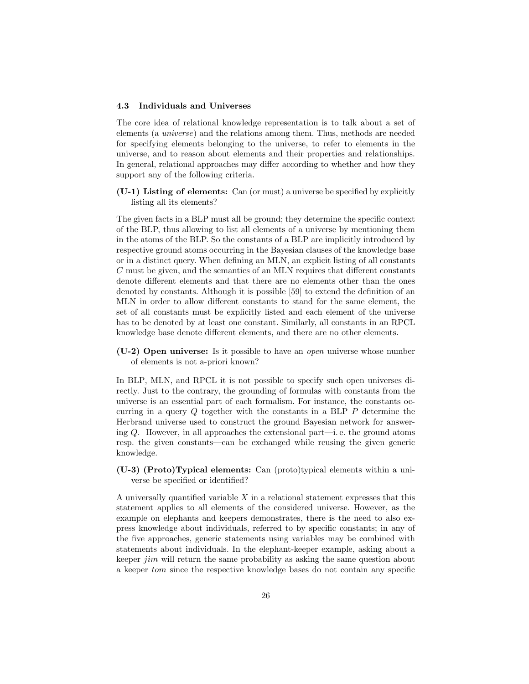#### 4.3 Individuals and Universes

The core idea of relational knowledge representation is to talk about a set of elements (a universe) and the relations among them. Thus, methods are needed for specifying elements belonging to the universe, to refer to elements in the universe, and to reason about elements and their properties and relationships. In general, relational approaches may differ according to whether and how they support any of the following criteria.

(U-1) Listing of elements: Can (or must) a universe be specified by explicitly listing all its elements?

The given facts in a BLP must all be ground; they determine the specific context of the BLP, thus allowing to list all elements of a universe by mentioning them in the atoms of the BLP. So the constants of a BLP are implicitly introduced by respective ground atoms occurring in the Bayesian clauses of the knowledge base or in a distinct query. When defining an MLN, an explicit listing of all constants C must be given, and the semantics of an MLN requires that different constants denote different elements and that there are no elements other than the ones denoted by constants. Although it is possible [59] to extend the definition of an MLN in order to allow different constants to stand for the same element, the set of all constants must be explicitly listed and each element of the universe has to be denoted by at least one constant. Similarly, all constants in an RPCL knowledge base denote different elements, and there are no other elements.

(U-2) Open universe: Is it possible to have an open universe whose number of elements is not a-priori known?

In BLP, MLN, and RPCL it is not possible to specify such open universes directly. Just to the contrary, the grounding of formulas with constants from the universe is an essential part of each formalism. For instance, the constants occurring in a query  $Q$  together with the constants in a BLP  $P$  determine the Herbrand universe used to construct the ground Bayesian network for answering Q. However, in all approaches the extensional part—i. e. the ground atoms resp. the given constants—can be exchanged while reusing the given generic knowledge.

(U-3) (Proto)Typical elements: Can (proto)typical elements within a universe be specified or identified?

A universally quantified variable  $X$  in a relational statement expresses that this statement applies to all elements of the considered universe. However, as the example on elephants and keepers demonstrates, there is the need to also express knowledge about individuals, referred to by specific constants; in any of the five approaches, generic statements using variables may be combined with statements about individuals. In the elephant-keeper example, asking about a keeper jim will return the same probability as asking the same question about a keeper tom since the respective knowledge bases do not contain any specific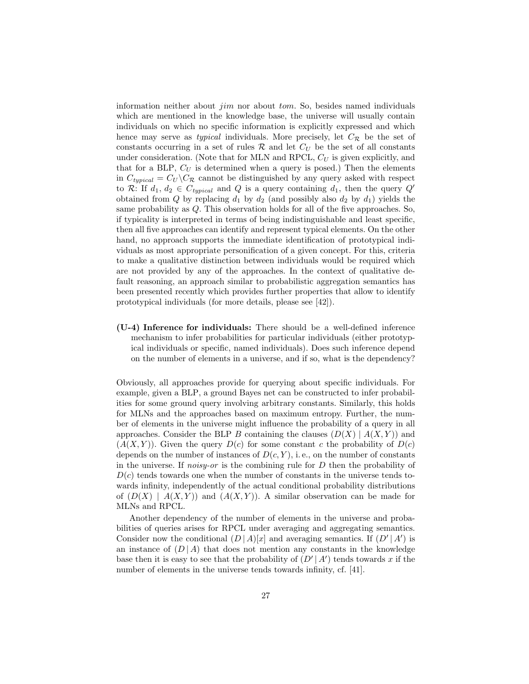information neither about *jim* nor about *tom*. So, besides named individuals which are mentioned in the knowledge base, the universe will usually contain individuals on which no specific information is explicitly expressed and which hence may serve as *typical* individuals. More precisely, let  $C_{\mathcal{R}}$  be the set of constants occurring in a set of rules  $R$  and let  $C_U$  be the set of all constants under consideration. (Note that for MLN and RPCL,  $C_U$  is given explicitly, and that for a BLP,  $C_U$  is determined when a query is posed.) Then the elements in  $C_{typical} = C_U \backslash C_{\mathcal{R}}$  cannot be distinguished by any query asked with respect to R: If  $d_1, d_2 \in C_{typical}$  and Q is a query containing  $d_1$ , then the query Q' obtained from Q by replacing  $d_1$  by  $d_2$  (and possibly also  $d_2$  by  $d_1$ ) yields the same probability as Q. This observation holds for all of the five approaches. So, if typicality is interpreted in terms of being indistinguishable and least specific, then all five approaches can identify and represent typical elements. On the other hand, no approach supports the immediate identification of prototypical individuals as most appropriate personification of a given concept. For this, criteria to make a qualitative distinction between individuals would be required which are not provided by any of the approaches. In the context of qualitative default reasoning, an approach similar to probabilistic aggregation semantics has been presented recently which provides further properties that allow to identify prototypical individuals (for more details, please see [42]).

(U-4) Inference for individuals: There should be a well-defined inference mechanism to infer probabilities for particular individuals (either prototypical individuals or specific, named individuals). Does such inference depend on the number of elements in a universe, and if so, what is the dependency?

Obviously, all approaches provide for querying about specific individuals. For example, given a BLP, a ground Bayes net can be constructed to infer probabilities for some ground query involving arbitrary constants. Similarly, this holds for MLNs and the approaches based on maximum entropy. Further, the number of elements in the universe might influence the probability of a query in all approaches. Consider the BLP B containing the clauses  $(D(X) | A(X, Y))$  and  $(A(X, Y))$ . Given the query  $D(c)$  for some constant c the probability of  $D(c)$ depends on the number of instances of  $D(c, Y)$ , i.e., on the number of constants in the universe. If noisy-or is the combining rule for  $D$  then the probability of  $D(c)$  tends towards one when the number of constants in the universe tends towards infinity, independently of the actual conditional probability distributions of  $(D(X) | A(X, Y))$  and  $(A(X, Y))$ . A similar observation can be made for MLNs and RPCL.

Another dependency of the number of elements in the universe and probabilities of queries arises for RPCL under averaging and aggregating semantics. Consider now the conditional  $(D | A)[x]$  and averaging semantics. If  $(D' | A')$  is an instance of  $(D | A)$  that does not mention any constants in the knowledge base then it is easy to see that the probability of  $(D' | A')$  tends towards x if the number of elements in the universe tends towards infinity, cf. [41].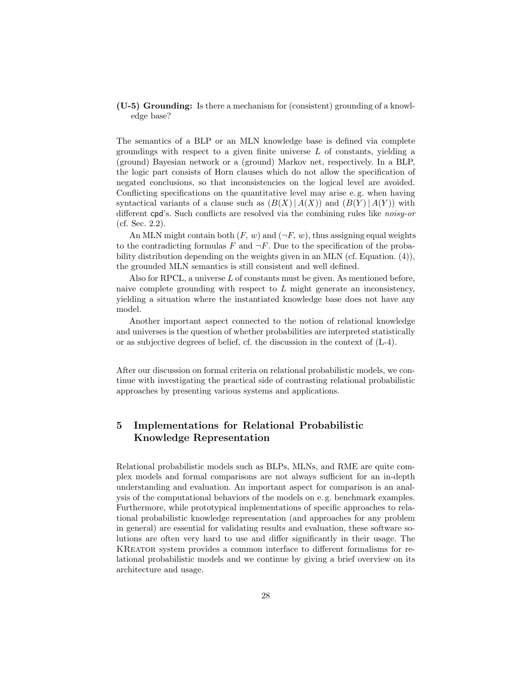## (U-5) Grounding: Is there a mechanism for (consistent) grounding of a knowledge base?

The semantics of a BLP or an MLN knowledge base is defined via complete groundings with respect to a given finite universe  $L$  of constants, yielding a (ground) Bayesian network or a (ground) Markov net, respectively. In a BLP, the logic part consists of Horn clauses which do not allow the specification of negated conclusions, so that inconsistencies on the logical level are avoided. Conflicting specifications on the quantitative level may arise e. g. when having syntactical variants of a clause such as  $(B(X) | A(X))$  and  $(B(Y) | A(Y))$  with different cpd's. Such conflicts are resolved via the combining rules like *noisy-or* (cf. Sec. 2.2).

An MLN might contain both  $(F, w)$  and  $(\neg F, w)$ , thus assigning equal weights to the contradicting formulas F and  $\neg F$ . Due to the specification of the probability distribution depending on the weights given in an MLN (cf. Equation. (4)), the grounded MLN semantics is still consistent and well defined.

Also for RPCL, a universe  $L$  of constants must be given. As mentioned before, naive complete grounding with respect to  $L$  might generate an inconsistency, yielding a situation where the instantiated knowledge base does not have any model.

Another important aspect connected to the notion of relational knowledge and universes is the question of whether probabilities are interpreted statistically or as subjective degrees of belief, cf. the discussion in the context of (L-4).

After our discussion on formal criteria on relational probabilistic models, we continue with investigating the practical side of contrasting relational probabilistic approaches by presenting various systems and applications.

# 5 Implementations for Relational Probabilistic Knowledge Representation

Relational probabilistic models such as BLPs, MLNs, and RME are quite complex models and formal comparisons are not always sufficient for an in-depth understanding and evaluation. An important aspect for comparison is an analysis of the computational behaviors of the models on e. g. benchmark examples. Furthermore, while prototypical implementations of specific approaches to relational probabilistic knowledge representation (and approaches for any problem in general) are essential for validating results and evaluation, these software solutions are often very hard to use and differ significantly in their usage. The KREATOR system provides a common interface to different formalisms for relational probabilistic models and we continue by giving a brief overview on its architecture and usage.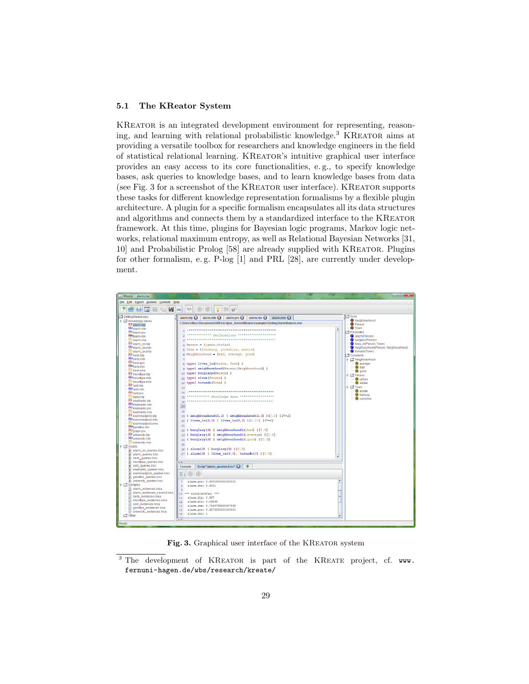### 5.1 The KReator System

KREATOR is an integrated development environment for representing, reasoning, and learning with relational probabilistic knowledge.<sup>3</sup> KREATOR aims at providing a versatile toolbox for researchers and knowledge engineers in the field of statistical relational learning. KReator's intuitive graphical user interface provides an easy access to its core functionalities, e. g., to specify knowledge bases, ask queries to knowledge bases, and to learn knowledge bases from data (see Fig. 3 for a screenshot of the KReator user interface). KReator supports these tasks for different knowledge representation formalisms by a flexible plugin architecture. A plugin for a specific formalism encapsulates all its data structures and algorithms and connects them by a standardized interface to the KREATOR framework. At this time, plugins for Bayesian logic programs, Markov logic networks, relational maximum entropy, as well as Relational Bayesian Networks [31, 10] and Probabilistic Prolog [58] are already supplied with KREATOR. Plugins for other formalism, e. g. P-log [1] and PRL [28], are currently under development.



Fig. 3. Graphical user interface of the KREATOR system

<sup>&</sup>lt;sup>3</sup> The development of KREATOR is part of the KREATE project, cf. www. fernuni-hagen.de/wbs/research/kreate/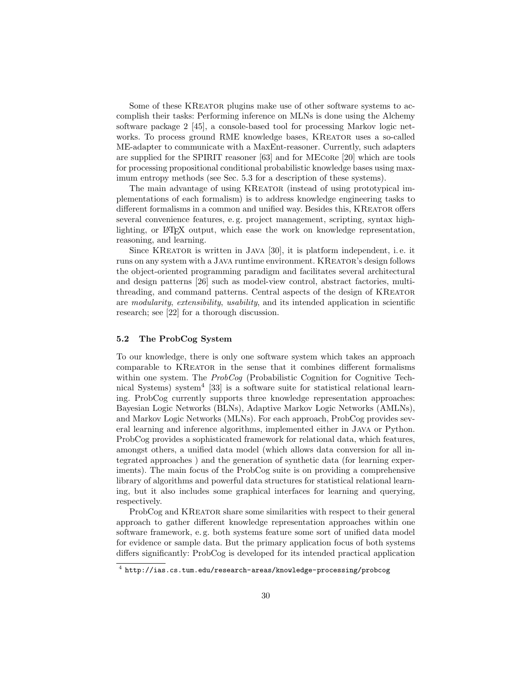Some of these KREATOR plugins make use of other software systems to accomplish their tasks: Performing inference on MLNs is done using the Alchemy software package 2 [45], a console-based tool for processing Markov logic networks. To process ground RME knowledge bases, KREATOR uses a so-called ME-adapter to communicate with a MaxEnt-reasoner. Currently, such adapters are supplied for the SPIRIT reasoner [63] and for MEcore [20] which are tools for processing propositional conditional probabilistic knowledge bases using maximum entropy methods (see Sec. 5.3 for a description of these systems).

The main advantage of using KREATOR (instead of using prototypical implementations of each formalism) is to address knowledge engineering tasks to different formalisms in a common and unified way. Besides this, KREATOR offers several convenience features, e. g. project management, scripting, syntax highlighting, or L<sup>A</sup>TEX output, which ease the work on knowledge representation, reasoning, and learning.

Since KREATOR is written in JAVA [30], it is platform independent, i.e. it runs on any system with a JAVA runtime environment. KREATOR's design follows the object-oriented programming paradigm and facilitates several architectural and design patterns [26] such as model-view control, abstract factories, multithreading, and command patterns. Central aspects of the design of KReator are modularity, extensibility, usability, and its intended application in scientific research; see [22] for a thorough discussion.

### 5.2 The ProbCog System

To our knowledge, there is only one software system which takes an approach comparable to KREATOR in the sense that it combines different formalisms within one system. The *ProbCog* (Probabilistic Cognition for Cognitive Technical Systems) system<sup>4</sup> [33] is a software suite for statistical relational learning. ProbCog currently supports three knowledge representation approaches: Bayesian Logic Networks (BLNs), Adaptive Markov Logic Networks (AMLNs), and Markov Logic Networks (MLNs). For each approach, ProbCog provides several learning and inference algorithms, implemented either in Java or Python. ProbCog provides a sophisticated framework for relational data, which features, amongst others, a unified data model (which allows data conversion for all integrated approaches ) and the generation of synthetic data (for learning experiments). The main focus of the ProbCog suite is on providing a comprehensive library of algorithms and powerful data structures for statistical relational learning, but it also includes some graphical interfaces for learning and querying, respectively.

ProbCog and KREATOR share some similarities with respect to their general approach to gather different knowledge representation approaches within one software framework, e. g. both systems feature some sort of unified data model for evidence or sample data. But the primary application focus of both systems differs significantly: ProbCog is developed for its intended practical application

 $^4$  http://ias.cs.tum.edu/research-areas/knowledge-processing/probcog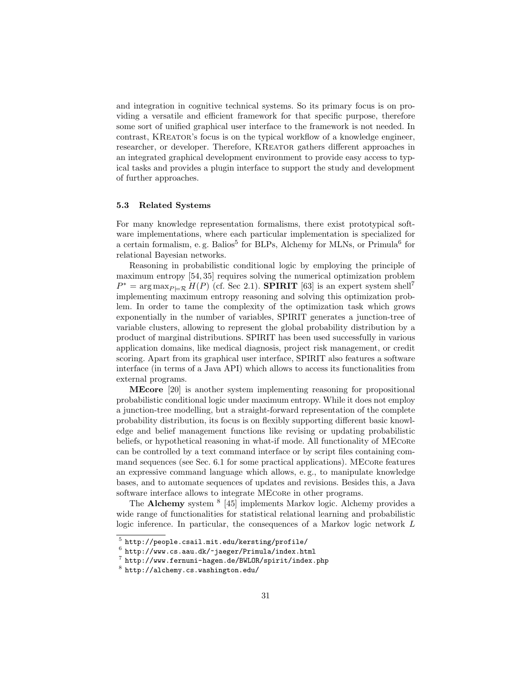and integration in cognitive technical systems. So its primary focus is on providing a versatile and efficient framework for that specific purpose, therefore some sort of unified graphical user interface to the framework is not needed. In contrast, KREATOR's focus is on the typical workflow of a knowledge engineer, researcher, or developer. Therefore, KREATOR gathers different approaches in an integrated graphical development environment to provide easy access to typical tasks and provides a plugin interface to support the study and development of further approaches.

### 5.3 Related Systems

For many knowledge representation formalisms, there exist prototypical software implementations, where each particular implementation is specialized for a certain formalism, e.g. Balios<sup>5</sup> for BLPs, Alchemy for MLNs, or Primula<sup>6</sup> for relational Bayesian networks.

Reasoning in probabilistic conditional logic by employing the principle of maximum entropy [54, 35] requires solving the numerical optimization problem  $P^* = \arg \max_{P \in \mathcal{R}} H(P)$  (cf. Sec 2.1). **SPIRIT** [63] is an expert system shell<sup>7</sup> implementing maximum entropy reasoning and solving this optimization problem. In order to tame the complexity of the optimization task which grows exponentially in the number of variables, SPIRIT generates a junction-tree of variable clusters, allowing to represent the global probability distribution by a product of marginal distributions. SPIRIT has been used successfully in various application domains, like medical diagnosis, project risk management, or credit scoring. Apart from its graphical user interface, SPIRIT also features a software interface (in terms of a Java API) which allows to access its functionalities from external programs.

MEcore [20] is another system implementing reasoning for propositional probabilistic conditional logic under maximum entropy. While it does not employ a junction-tree modelling, but a straight-forward representation of the complete probability distribution, its focus is on flexibly supporting different basic knowledge and belief management functions like revising or updating probabilistic beliefs, or hypothetical reasoning in what-if mode. All functionality of MEcore can be controlled by a text command interface or by script files containing command sequences (see Sec. 6.1 for some practical applications). MEcore features an expressive command language which allows, e. g., to manipulate knowledge bases, and to automate sequences of updates and revisions. Besides this, a Java software interface allows to integrate MECoRe in other programs.

The Alchemy system <sup>8</sup> [45] implements Markov logic. Alchemy provides a wide range of functionalities for statistical relational learning and probabilistic logic inference. In particular, the consequences of a Markov logic network L

 $^5$  http://people.csail.mit.edu/kersting/profile/

 $\frac{6}{5}$  http://www.cs.aau.dk/~jaeger/Primula/index.html

<sup>7</sup> http://www.fernuni-hagen.de/BWLOR/spirit/index.php

 $^8$  http://alchemy.cs.washington.edu/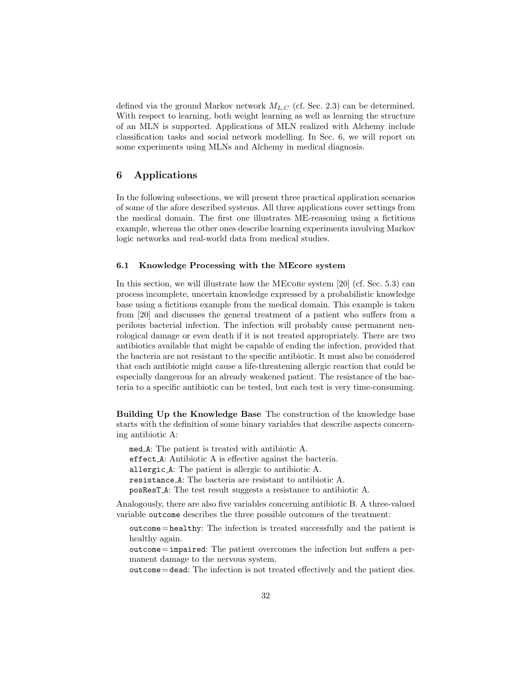defined via the ground Markov network  $M_{L,C}$  (cf. Sec. 2.3) can be determined. With respect to learning, both weight learning as well as learning the structure of an MLN is supported. Applications of MLN realized with Alchemy include classification tasks and social network modelling. In Sec. 6, we will report on some experiments using MLNs and Alchemy in medical diagnosis.

# 6 Applications

In the following subsections, we will present three practical application scenarios of some of the afore described systems. All three applications cover settings from the medical domain. The first one illustrates ME-reasoning using a fictitious example, whereas the other ones describe learning experiments involving Markov logic networks and real-world data from medical studies.

### 6.1 Knowledge Processing with the MEcore system

In this section, we will illustrate how the MEcore system [20] (cf. Sec. 5.3) can process incomplete, uncertain knowledge expressed by a probabilistic knowledge base using a fictitious example from the medical domain. This example is taken from [20] and discusses the general treatment of a patient who suffers from a perilous bacterial infection. The infection will probably cause permanent neurological damage or even death if it is not treated appropriately. There are two antibiotics available that might be capable of ending the infection, provided that the bacteria are not resistant to the specific antibiotic. It must also be considered that each antibiotic might cause a life-threatening allergic reaction that could be especially dangerous for an already weakened patient. The resistance of the bacteria to a specific antibiotic can be tested, but each test is very time-consuming.

Building Up the Knowledge Base The construction of the knowledge base starts with the definition of some binary variables that describe aspects concerning antibiotic A:

med A: The patient is treated with antibiotic A. effect A: Antibiotic A is effective against the bacteria. allergic A: The patient is allergic to antibiotic A. resistance A: The bacteria are resistant to antibiotic A. posResT A: The test result suggests a resistance to antibiotic A.

Analogously, there are also five variables concerning antibiotic B. A three-valued variable outcome describes the three possible outcomes of the treatment:

outcome=healthy: The infection is treated successfully and the patient is healthy again.

outcome=impaired: The patient overcomes the infection but suffers a permanent damage to the nervous system.

outcome=dead: The infection is not treated effectively and the patient dies.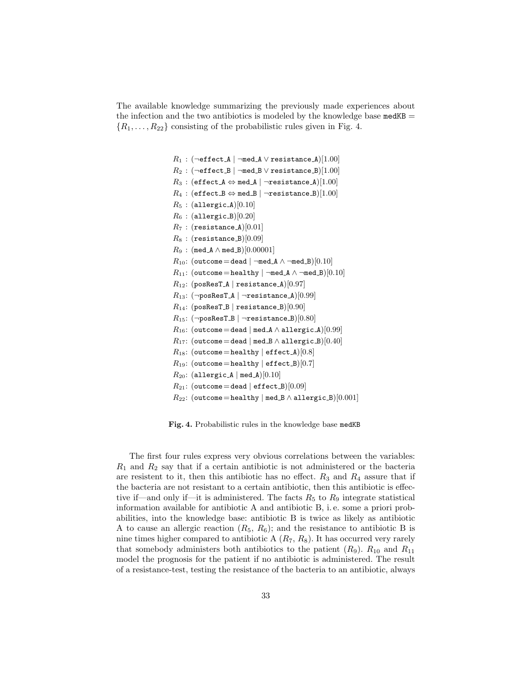The available knowledge summarizing the previously made experiences about the infection and the two antibiotics is modeled by the knowledge base medKB  $=$  $\{R_1, \ldots, R_{22}\}\)$  consisting of the probabilistic rules given in Fig. 4.

```
R_1: (¬effect_A | ¬med_A \vee resistance_A)[1.00]
R_2: (\negeffect_B | \negmed_B \vee resistance_B)[1.00]
R_3: (effect_A \Leftrightarrow med_A | ¬resistance_A)[1.00]
R_4: (effect B \Leftrightarrow med B | \negresistance B)[1.00]
R_5 : (allergic_A)[0.10]
R_6: (allergic_B)[0.20]R_7 : (resistance \Delta)[0.01]
R_8: (resistance B)[0.09]R_9 : (med_A \land med_B)[0.00001]
R_{10}: (outcome=dead | ¬med_A \land ¬med_B)[0.10]
R_{11}: (outcome=healthy | ¬med_A \land ¬med_B)[0.10]
R_{12}: (posResT_A | resistance_A)[0.97]
R_{13}: (\negposResT_A | \negresistance_A)[0.99]
R_{14}: (posResT_B | resistance_B)[0.90]
R_{15}: (\negposResT_B | \negresistance_B)[0.80]
R_{16}: (outcome=dead | med_A \land allergic_A)[0.99]
R_{17}: (outcome=dead | med_B \land allergic_B)[0.40]
R_{18}: (outcome=healthy | effect_A)[0.8]
R_{19}: (outcome=healthy | effect_B)[0.7]
R_{20}: (allergic_A | med_A)[0.10]
R_{21}: (outcome=dead | effect_B)[0.09]
R_{22}: (outcome=healthy | med B \land allergic B)[0.001]
```
Fig. 4. Probabilistic rules in the knowledge base medKB

The first four rules express very obvious correlations between the variables:  $R_1$  and  $R_2$  say that if a certain antibiotic is not administered or the bacteria are resistent to it, then this antibiotic has no effect.  $R_3$  and  $R_4$  assure that if the bacteria are not resistant to a certain antibiotic, then this antibiotic is effective if—and only if—it is administered. The facts  $R_5$  to  $R_9$  integrate statistical information available for antibiotic A and antibiotic B, i. e. some a priori probabilities, into the knowledge base: antibiotic B is twice as likely as antibiotic A to cause an allergic reaction  $(R_5, R_6)$ ; and the resistance to antibiotic B is nine times higher compared to antibiotic A  $(R_7, R_8)$ . It has occurred very rarely that somebody administers both antibiotics to the patient  $(R_9)$ .  $R_{10}$  and  $R_{11}$ model the prognosis for the patient if no antibiotic is administered. The result of a resistance-test, testing the resistance of the bacteria to an antibiotic, always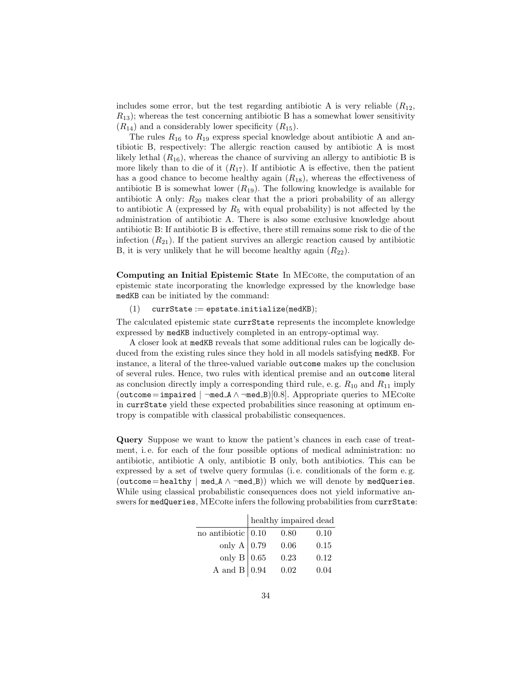includes some error, but the test regarding antibiotic A is very reliable  $(R_{12},$  $R_{13}$ ); whereas the test concerning antibiotic B has a somewhat lower sensitivity  $(R_{14})$  and a considerably lower specificity  $(R_{15})$ .

The rules  $R_{16}$  to  $R_{19}$  express special knowledge about antibiotic A and antibiotic B, respectively: The allergic reaction caused by antibiotic A is most likely lethal  $(R_{16})$ , whereas the chance of surviving an allergy to antibiotic B is more likely than to die of it  $(R_{17})$ . If antibiotic A is effective, then the patient has a good chance to become healthy again  $(R_{18})$ , whereas the effectiveness of antibiotic B is somewhat lower  $(R_{19})$ . The following knowledge is available for antibiotic A only:  $R_{20}$  makes clear that the a priori probability of an allergy to antibiotic A (expressed by  $R_5$  with equal probability) is not affected by the administration of antibiotic A. There is also some exclusive knowledge about antibiotic B: If antibiotic B is effective, there still remains some risk to die of the infection  $(R_{21})$ . If the patient survives an allergic reaction caused by antibiotic B, it is very unlikely that he will become healthy again  $(R_{22})$ .

Computing an Initial Epistemic State In MEcore, the computation of an epistemic state incorporating the knowledge expressed by the knowledge base medKB can be initiated by the command:

(1) currState := epstate.initialize(medKB);

The calculated epistemic state currState represents the incomplete knowledge expressed by medKB inductively completed in an entropy-optimal way.

A closer look at medKB reveals that some additional rules can be logically deduced from the existing rules since they hold in all models satisfying medKB. For instance, a literal of the three-valued variable outcome makes up the conclusion of several rules. Hence, two rules with identical premise and an outcome literal as conclusion directly imply a corresponding third rule, e.g.  $R_{10}$  and  $R_{11}$  imply (outcome=impaired |  $\neg$ med A  $\land \neg$ med B)[0.8]. Appropriate queries to MECoRe in currState yield these expected probabilities since reasoning at optimum entropy is compatible with classical probabilistic consequences.

Query Suppose we want to know the patient's chances in each case of treatment, i. e. for each of the four possible options of medical administration: no antibiotic, antibiotic A only, antibiotic B only, both antibiotics. This can be expressed by a set of twelve query formulas (i. e. conditionals of the form e. g. (outcome=healthy | med  $A \wedge \neg \text{med} B$ )) which we will denote by medQueries. While using classical probabilistic consequences does not yield informative answers for medQueries, MECoRe infers the following probabilities from currState:

|                                  | healthy impaired dead |      |
|----------------------------------|-----------------------|------|
| no antibiotic $\vert 0.10 \vert$ | 0.80                  | 0.10 |
| only A $\big  \, 0.79$           | 0.06                  | 0.15 |
| only $B   0.65$                  | 0.23                  | 0.12 |
| A and B $\vert$ 0.94             | 0.02                  | 0.04 |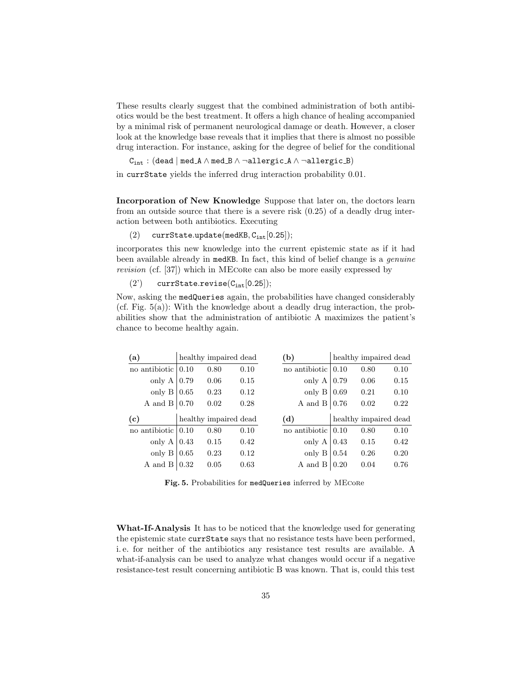These results clearly suggest that the combined administration of both antibiotics would be the best treatment. It offers a high chance of healing accompanied by a minimal risk of permanent neurological damage or death. However, a closer look at the knowledge base reveals that it implies that there is almost no possible drug interaction. For instance, asking for the degree of belief for the conditional

```
C_{int}: (dead | med_A \land med_B \land \negallergic_A \land \negallergic_B)
```
in currState yields the inferred drug interaction probability 0.01.

Incorporation of New Knowledge Suppose that later on, the doctors learn from an outside source that there is a severe risk (0.25) of a deadly drug interaction between both antibiotics. Executing

(2) currState.update(medKB,  $C_{int}[0.25]$ );

incorporates this new knowledge into the current epistemic state as if it had been available already in medKB. In fact, this kind of belief change is a *genuine* revision (cf. [37]) which in MECoRe can also be more easily expressed by

 $(2')$  currState.revise( $C_{int}[0.25]$ );

Now, asking the medQueries again, the probabilities have changed considerably (cf. Fig. 5(a)): With the knowledge about a deadly drug interaction, the probabilities show that the administration of antibiotic A maximizes the patient's chance to become healthy again.

| (a)                                |      | healthy impaired dead |      | $\mathbf{b}$                       |      | healthy impaired dead |      |
|------------------------------------|------|-----------------------|------|------------------------------------|------|-----------------------|------|
| no antibiotic $\vert 0.10 \rangle$ |      | 0.80                  | 0.10 | no antibiotic                      | 0.10 | 0.80                  | 0.10 |
| only A                             | 0.79 | 0.06                  | 0.15 | only A                             | 0.79 | 0.06                  | 0.15 |
| only B                             | 0.65 | 0.23                  | 0.12 | only B                             | 0.69 | 0.21                  | 0.10 |
| A and $B \mid 0.70$                |      | 0.02                  | 0.28 | A and $B \mid 0.76$                |      | 0.02                  | 0.22 |
|                                    |      |                       |      |                                    |      |                       |      |
| (c)                                |      | healthy impaired dead |      | (d)                                |      | healthy impaired dead |      |
| no antibiotic $\vert 0.10 \rangle$ |      | 0.80                  | 0.10 | no antibiotic $\vert 0.10 \rangle$ |      | 0.80                  | 0.10 |
| only A                             | 0.43 | 0.15                  | 0.42 | only A                             | 0.43 | 0.15                  | 0.42 |
| only B                             | 0.65 | 0.23                  | 0.12 | only B                             | 0.54 | 0.26                  | 0.20 |

Fig. 5. Probabilities for medQueries inferred by MECoRe

What-If-Analysis It has to be noticed that the knowledge used for generating the epistemic state currState says that no resistance tests have been performed, i. e. for neither of the antibiotics any resistance test results are available. A what-if-analysis can be used to analyze what changes would occur if a negative resistance-test result concerning antibiotic B was known. That is, could this test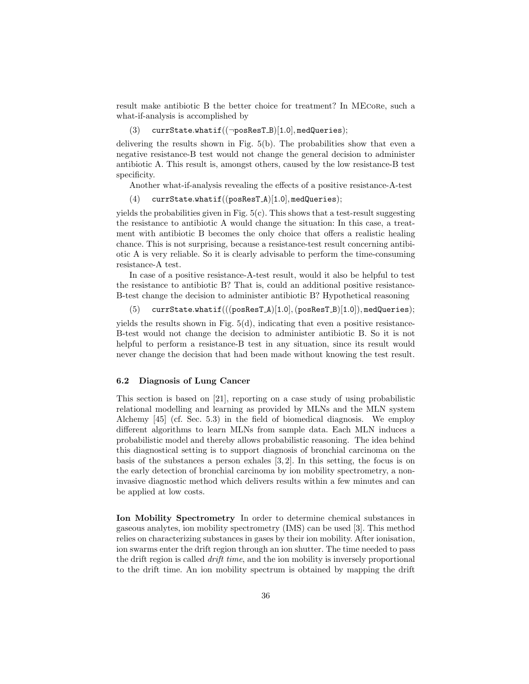result make antibiotic B the better choice for treatment? In MEcore, such a what-if-analysis is accomplished by

(3) currState.whatif $((\neg posResT_B)[1.0], medQueries);$ 

delivering the results shown in Fig. 5(b). The probabilities show that even a negative resistance-B test would not change the general decision to administer antibiotic A. This result is, amongst others, caused by the low resistance-B test specificity.

Another what-if-analysis revealing the effects of a positive resistance-A-test

(4) currState.whatif((posResT\_A)[1.0], medQueries);

yields the probabilities given in Fig. 5(c). This shows that a test-result suggesting the resistance to antibiotic A would change the situation: In this case, a treatment with antibiotic B becomes the only choice that offers a realistic healing chance. This is not surprising, because a resistance-test result concerning antibiotic A is very reliable. So it is clearly advisable to perform the time-consuming resistance-A test.

In case of a positive resistance-A-test result, would it also be helpful to test the resistance to antibiotic B? That is, could an additional positive resistance-B-test change the decision to administer antibiotic B? Hypothetical reasoning

(5) currState.whatif( $((posResT_A)[1.0],(posResT_B)[1.0]), medQueries);$ 

yields the results shown in Fig.  $5(d)$ , indicating that even a positive resistance-B-test would not change the decision to administer antibiotic B. So it is not helpful to perform a resistance-B test in any situation, since its result would never change the decision that had been made without knowing the test result.

### 6.2 Diagnosis of Lung Cancer

This section is based on [21], reporting on a case study of using probabilistic relational modelling and learning as provided by MLNs and the MLN system Alchemy [45] (cf. Sec. 5.3) in the field of biomedical diagnosis. We employ different algorithms to learn MLNs from sample data. Each MLN induces a probabilistic model and thereby allows probabilistic reasoning. The idea behind this diagnostical setting is to support diagnosis of bronchial carcinoma on the basis of the substances a person exhales [3, 2]. In this setting, the focus is on the early detection of bronchial carcinoma by ion mobility spectrometry, a noninvasive diagnostic method which delivers results within a few minutes and can be applied at low costs.

Ion Mobility Spectrometry In order to determine chemical substances in gaseous analytes, ion mobility spectrometry (IMS) can be used [3]. This method relies on characterizing substances in gases by their ion mobility. After ionisation, ion swarms enter the drift region through an ion shutter. The time needed to pass the drift region is called drift time, and the ion mobility is inversely proportional to the drift time. An ion mobility spectrum is obtained by mapping the drift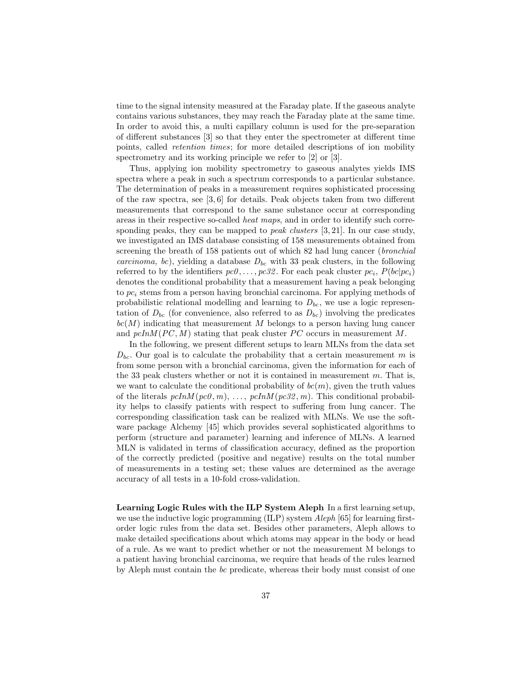time to the signal intensity measured at the Faraday plate. If the gaseous analyte contains various substances, they may reach the Faraday plate at the same time. In order to avoid this, a multi capillary column is used for the pre-separation of different substances [3] so that they enter the spectrometer at different time points, called retention times; for more detailed descriptions of ion mobility spectrometry and its working principle we refer to [2] or [3].

Thus, applying ion mobility spectrometry to gaseous analytes yields IMS spectra where a peak in such a spectrum corresponds to a particular substance. The determination of peaks in a measurement requires sophisticated processing of the raw spectra, see [3, 6] for details. Peak objects taken from two different measurements that correspond to the same substance occur at corresponding areas in their respective so-called heat maps, and in order to identify such corresponding peaks, they can be mapped to *peak clusters*  $[3, 21]$ . In our case study, we investigated an IMS database consisting of 158 measurements obtained from screening the breath of 158 patients out of which 82 had lung cancer (bronchial carcinoma, bc), yielding a database  $D_{bc}$  with 33 peak clusters, in the following referred to by the identifiers  $pc0, \ldots, pc32$ . For each peak cluster  $pc_i$ ,  $P(bc|pc_i)$ denotes the conditional probability that a measurement having a peak belonging to  $pc<sub>i</sub>$  stems from a person having bronchial carcinoma. For applying methods of probabilistic relational modelling and learning to  $D_{bc}$ , we use a logic representation of  $D_{bc}$  (for convenience, also referred to as  $D_{bc}$ ) involving the predicates  $bc(M)$  indicating that measurement M belongs to a person having lung cancer and  $pclnM (PC, M)$  stating that peak cluster PC occurs in measurement M.

In the following, we present different setups to learn MLNs from the data set  $D_{bc}$ . Our goal is to calculate the probability that a certain measurement m is from some person with a bronchial carcinoma, given the information for each of the 33 peak clusters whether or not it is contained in measurement  $m$ . That is, we want to calculate the conditional probability of  $bc(m)$ , given the truth values of the literals  $pclnM(pcl, m), \ldots, pclnM(pcl, 2, m)$ . This conditional probability helps to classify patients with respect to suffering from lung cancer. The corresponding classification task can be realized with MLNs. We use the software package Alchemy [45] which provides several sophisticated algorithms to perform (structure and parameter) learning and inference of MLNs. A learned MLN is validated in terms of classification accuracy, defined as the proportion of the correctly predicted (positive and negative) results on the total number of measurements in a testing set; these values are determined as the average accuracy of all tests in a 10-fold cross-validation.

Learning Logic Rules with the ILP System Aleph In a first learning setup, we use the inductive logic programming (ILP) system *Aleph* [65] for learning firstorder logic rules from the data set. Besides other parameters, Aleph allows to make detailed specifications about which atoms may appear in the body or head of a rule. As we want to predict whether or not the measurement M belongs to a patient having bronchial carcinoma, we require that heads of the rules learned by Aleph must contain the bc predicate, whereas their body must consist of one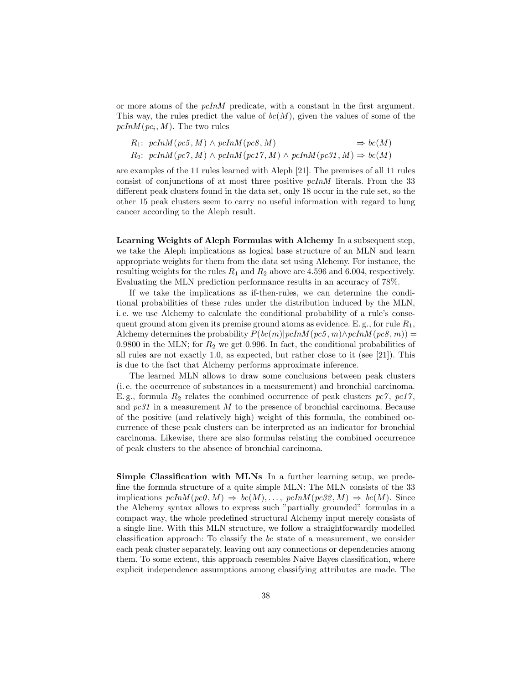or more atoms of the pcInM predicate, with a constant in the first argument. This way, the rules predict the value of  $bc(M)$ , given the values of some of the  $pcInM(pc_i, M)$ . The two rules

$$
R_1: pclnM(pc5, M) \wedge pclnM(pc8, M) \Rightarrow bc(M)
$$
  
\n
$$
R_2: pclnM(pc7, M) \wedge pclnM(pc17, M) \wedge pclnM(pc31, M) \Rightarrow bc(M)
$$

are examples of the 11 rules learned with Aleph [21]. The premises of all 11 rules consist of conjunctions of at most three positive pcInM literals. From the 33 different peak clusters found in the data set, only 18 occur in the rule set, so the other 15 peak clusters seem to carry no useful information with regard to lung cancer according to the Aleph result.

Learning Weights of Aleph Formulas with Alchemy In a subsequent step, we take the Aleph implications as logical base structure of an MLN and learn appropriate weights for them from the data set using Alchemy. For instance, the resulting weights for the rules  $R_1$  and  $R_2$  above are 4.596 and 6.004, respectively. Evaluating the MLN prediction performance results in an accuracy of 78%.

If we take the implications as if-then-rules, we can determine the conditional probabilities of these rules under the distribution induced by the MLN, i. e. we use Alchemy to calculate the conditional probability of a rule's consequent ground atom given its premise ground atoms as evidence. E. g., for rule  $R_1$ , Alchemy determines the probability  $P(bc(m)|pclnM(pcf, m) \wedge pclnM(pc\delta, m)) =$ 0.9800 in the MLN; for  $R_2$  we get 0.996. In fact, the conditional probabilities of all rules are not exactly 1.0, as expected, but rather close to it (see [21]). This is due to the fact that Alchemy performs approximate inference.

The learned MLN allows to draw some conclusions between peak clusters (i. e. the occurrence of substances in a measurement) and bronchial carcinoma. E.g., formula  $R_2$  relates the combined occurrence of peak clusters pc7, pc17, and  $pc31$  in a measurement M to the presence of bronchial carcinoma. Because of the positive (and relatively high) weight of this formula, the combined occurrence of these peak clusters can be interpreted as an indicator for bronchial carcinoma. Likewise, there are also formulas relating the combined occurrence of peak clusters to the absence of bronchial carcinoma.

Simple Classification with MLNs In a further learning setup, we predefine the formula structure of a quite simple MLN: The MLN consists of the 33 implications  $pclnM(pc0, M) \Rightarrow bc(M), \ldots, pclnM(pc32, M) \Rightarrow bc(M)$ . Since the Alchemy syntax allows to express such "partially grounded" formulas in a compact way, the whole predefined structural Alchemy input merely consists of a single line. With this MLN structure, we follow a straightforwardly modelled classification approach: To classify the bc state of a measurement, we consider each peak cluster separately, leaving out any connections or dependencies among them. To some extent, this approach resembles Naive Bayes classification, where explicit independence assumptions among classifying attributes are made. The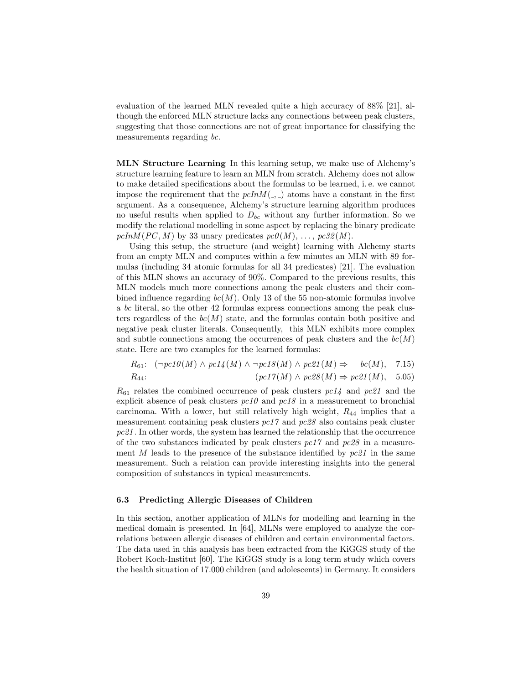evaluation of the learned MLN revealed quite a high accuracy of 88% [21], although the enforced MLN structure lacks any connections between peak clusters, suggesting that those connections are not of great importance for classifying the measurements regarding bc.

MLN Structure Learning In this learning setup, we make use of Alchemy's structure learning feature to learn an MLN from scratch. Alchemy does not allow to make detailed specifications about the formulas to be learned, i. e. we cannot impose the requirement that the  $pcInM($ ,  $)$  atoms have a constant in the first argument. As a consequence, Alchemy's structure learning algorithm produces no useful results when applied to  $D_{bc}$  without any further information. So we modify the relational modelling in some aspect by replacing the binary predicate  $pcInM(PC, M)$  by 33 unary predicates  $pc0(M), \ldots, pc32(M)$ .

Using this setup, the structure (and weight) learning with Alchemy starts from an empty MLN and computes within a few minutes an MLN with 89 formulas (including 34 atomic formulas for all 34 predicates) [21]. The evaluation of this MLN shows an accuracy of 90%. Compared to the previous results, this MLN models much more connections among the peak clusters and their combined influence regarding  $bc(M)$ . Only 13 of the 55 non-atomic formulas involve a bc literal, so the other 42 formulas express connections among the peak clusters regardless of the  $bc(M)$  state, and the formulas contain both positive and negative peak cluster literals. Consequently, this MLN exhibits more complex and subtle connections among the occurrences of peak clusters and the  $bc(M)$ state. Here are two examples for the learned formulas:

$$
R_{61}: \quad (\neg pc10(M) \land pc14(M) \land \neg pc18(M) \land pc21(M) \Rightarrow bc(M), \quad 7.15)
$$
\n
$$
R_{44}: \quad (pc17(M) \land pc28(M) \Rightarrow pc21(M), \quad 5.05)
$$

 $R_{61}$  relates the combined occurrence of peak clusters  $pc14$  and  $pc21$  and the explicit absence of peak clusters  $pc10$  and  $pc18$  in a measurement to bronchial carcinoma. With a lower, but still relatively high weight,  $R_{44}$  implies that a measurement containing peak clusters pc17 and pc28 also contains peak cluster pc21 . In other words, the system has learned the relationship that the occurrence of the two substances indicated by peak clusters  $pc17$  and  $pc28$  in a measurement M leads to the presence of the substance identified by  $pc21$  in the same measurement. Such a relation can provide interesting insights into the general composition of substances in typical measurements.

### 6.3 Predicting Allergic Diseases of Children

In this section, another application of MLNs for modelling and learning in the medical domain is presented. In  $[64]$ , MLNs were employed to analyze the correlations between allergic diseases of children and certain environmental factors. The data used in this analysis has been extracted from the KiGGS study of the Robert Koch-Institut [60]. The KiGGS study is a long term study which covers the health situation of 17.000 children (and adolescents) in Germany. It considers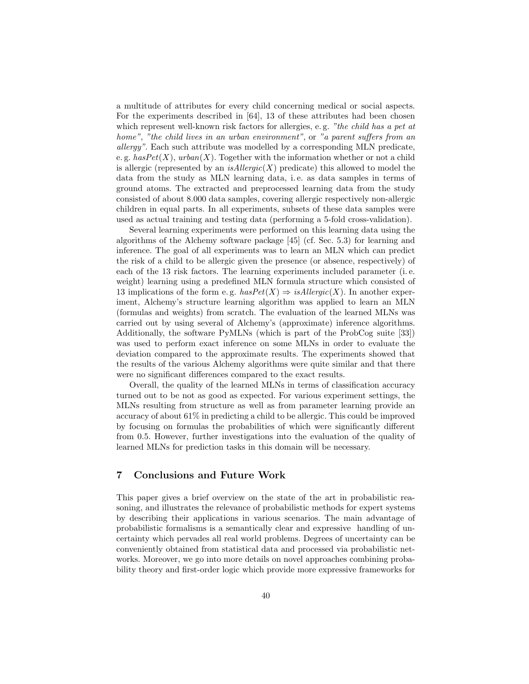a multitude of attributes for every child concerning medical or social aspects. For the experiments described in [64], 13 of these attributes had been chosen which represent well-known risk factors for allergies, e.g. "the child has a pet at home", "the child lives in an urban environment", or "a parent suffers from an allergy". Each such attribute was modelled by a corresponding MLN predicate, e. g.  $hasPet(X)$ ,  $urban(X)$ . Together with the information whether or not a child is allergic (represented by an  $isAllergic(X)$  predicate) this allowed to model the data from the study as MLN learning data, i. e. as data samples in terms of ground atoms. The extracted and preprocessed learning data from the study consisted of about 8.000 data samples, covering allergic respectively non-allergic children in equal parts. In all experiments, subsets of these data samples were used as actual training and testing data (performing a 5-fold cross-validation).

Several learning experiments were performed on this learning data using the algorithms of the Alchemy software package [45] (cf. Sec. 5.3) for learning and inference. The goal of all experiments was to learn an MLN which can predict the risk of a child to be allergic given the presence (or absence, respectively) of each of the 13 risk factors. The learning experiments included parameter (i. e. weight) learning using a predefined MLN formula structure which consisted of 13 implications of the form e.g.  $hasPet(X) \Rightarrow isAllerqic(X)$ . In another experiment, Alchemy's structure learning algorithm was applied to learn an MLN (formulas and weights) from scratch. The evaluation of the learned MLNs was carried out by using several of Alchemy's (approximate) inference algorithms. Additionally, the software PyMLNs (which is part of the ProbCog suite [33]) was used to perform exact inference on some MLNs in order to evaluate the deviation compared to the approximate results. The experiments showed that the results of the various Alchemy algorithms were quite similar and that there were no significant differences compared to the exact results.

Overall, the quality of the learned MLNs in terms of classification accuracy turned out to be not as good as expected. For various experiment settings, the MLNs resulting from structure as well as from parameter learning provide an accuracy of about 61% in predicting a child to be allergic. This could be improved by focusing on formulas the probabilities of which were significantly different from 0.5. However, further investigations into the evaluation of the quality of learned MLNs for prediction tasks in this domain will be necessary.

# 7 Conclusions and Future Work

This paper gives a brief overview on the state of the art in probabilistic reasoning, and illustrates the relevance of probabilistic methods for expert systems by describing their applications in various scenarios. The main advantage of probabilistic formalisms is a semantically clear and expressive handling of uncertainty which pervades all real world problems. Degrees of uncertainty can be conveniently obtained from statistical data and processed via probabilistic networks. Moreover, we go into more details on novel approaches combining probability theory and first-order logic which provide more expressive frameworks for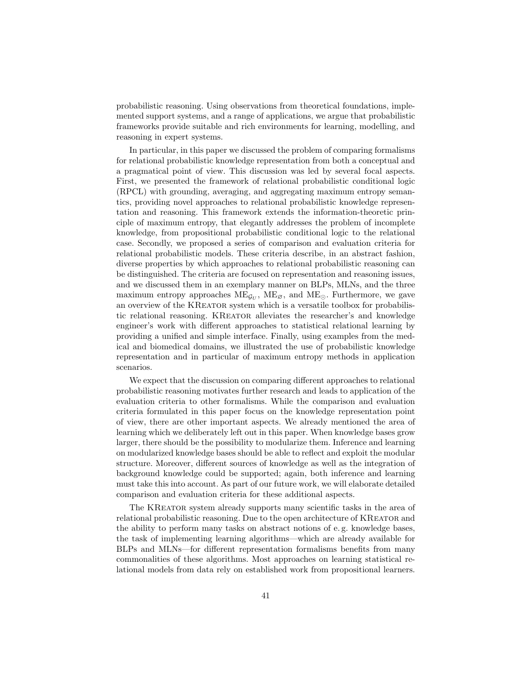probabilistic reasoning. Using observations from theoretical foundations, implemented support systems, and a range of applications, we argue that probabilistic frameworks provide suitable and rich environments for learning, modelling, and reasoning in expert systems.

In particular, in this paper we discussed the problem of comparing formalisms for relational probabilistic knowledge representation from both a conceptual and a pragmatical point of view. This discussion was led by several focal aspects. First, we presented the framework of relational probabilistic conditional logic (RPCL) with grounding, averaging, and aggregating maximum entropy semantics, providing novel approaches to relational probabilistic knowledge representation and reasoning. This framework extends the information-theoretic principle of maximum entropy, that elegantly addresses the problem of incomplete knowledge, from propositional probabilistic conditional logic to the relational case. Secondly, we proposed a series of comparison and evaluation criteria for relational probabilistic models. These criteria describe, in an abstract fashion, diverse properties by which approaches to relational probabilistic reasoning can be distinguished. The criteria are focused on representation and reasoning issues, and we discussed them in an exemplary manner on BLPs, MLNs, and the three maximum entropy approaches  $ME_{\mathcal{G}_U}$ ,  $ME_{\varnothing}$ , and  $ME_{\odot}$ . Furthermore, we gave an overview of the KREATOR system which is a versatile toolbox for probabilistic relational reasoning. KREATOR alleviates the researcher's and knowledge engineer's work with different approaches to statistical relational learning by providing a unified and simple interface. Finally, using examples from the medical and biomedical domains, we illustrated the use of probabilistic knowledge representation and in particular of maximum entropy methods in application scenarios.

We expect that the discussion on comparing different approaches to relational probabilistic reasoning motivates further research and leads to application of the evaluation criteria to other formalisms. While the comparison and evaluation criteria formulated in this paper focus on the knowledge representation point of view, there are other important aspects. We already mentioned the area of learning which we deliberately left out in this paper. When knowledge bases grow larger, there should be the possibility to modularize them. Inference and learning on modularized knowledge bases should be able to reflect and exploit the modular structure. Moreover, different sources of knowledge as well as the integration of background knowledge could be supported; again, both inference and learning must take this into account. As part of our future work, we will elaborate detailed comparison and evaluation criteria for these additional aspects.

The KREATOR system already supports many scientific tasks in the area of relational probabilistic reasoning. Due to the open architecture of KREATOR and the ability to perform many tasks on abstract notions of e. g. knowledge bases, the task of implementing learning algorithms—which are already available for BLPs and MLNs—for different representation formalisms benefits from many commonalities of these algorithms. Most approaches on learning statistical relational models from data rely on established work from propositional learners.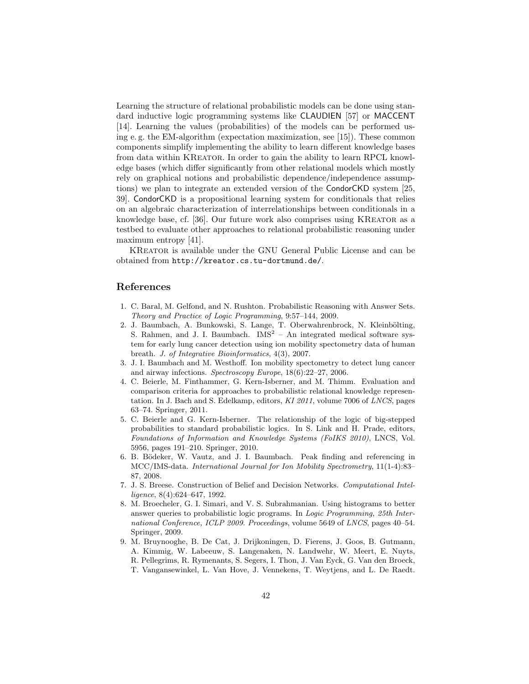Learning the structure of relational probabilistic models can be done using standard inductive logic programming systems like CLAUDIEN [57] or MACCENT [14]. Learning the values (probabilities) of the models can be performed using e. g. the EM-algorithm (expectation maximization, see [15]). These common components simplify implementing the ability to learn different knowledge bases from data within KREATOR. In order to gain the ability to learn RPCL knowledge bases (which differ significantly from other relational models which mostly rely on graphical notions and probabilistic dependence/independence assumptions) we plan to integrate an extended version of the CondorCKD system [25, 39]. CondorCKD is a propositional learning system for conditionals that relies on an algebraic characterization of interrelationships between conditionals in a knowledge base, cf. [36]. Our future work also comprises using KREATOR as a testbed to evaluate other approaches to relational probabilistic reasoning under maximum entropy [41].

KReator is available under the GNU General Public License and can be obtained from http://kreator.cs.tu-dortmund.de/.

# References

- 1. C. Baral, M. Gelfond, and N. Rushton. Probabilistic Reasoning with Answer Sets. Theory and Practice of Logic Programming, 9:57–144, 2009.
- 2. J. Baumbach, A. Bunkowski, S. Lange, T. Oberwahrenbrock, N. Kleinbölting, S. Rahmen, and J. I. Baumbach.  $IMS^2 - An$  integrated medical software system for early lung cancer detection using ion mobility spectometry data of human breath. J. of Integrative Bioinformatics, 4(3), 2007.
- 3. J. I. Baumbach and M. Westhoff. Ion mobility spectometry to detect lung cancer and airway infections. Spectroscopy Europe, 18(6):22–27, 2006.
- 4. C. Beierle, M. Finthammer, G. Kern-Isberner, and M. Thimm. Evaluation and comparison criteria for approaches to probabilistic relational knowledge representation. In J. Bach and S. Edelkamp, editors, KI 2011, volume 7006 of LNCS, pages 63–74. Springer, 2011.
- 5. C. Beierle and G. Kern-Isberner. The relationship of the logic of big-stepped probabilities to standard probabilistic logics. In S. Link and H. Prade, editors, Foundations of Information and Knowledge Systems (FoIKS 2010), LNCS, Vol. 5956, pages 191–210. Springer, 2010.
- 6. B. Bödeker, W. Vautz, and J. I. Baumbach. Peak finding and referencing in MCC/IMS-data. International Journal for Ion Mobility Spectrometry, 11(1-4):83– 87, 2008.
- 7. J. S. Breese. Construction of Belief and Decision Networks. Computational Intelligence, 8(4):624–647, 1992.
- 8. M. Broecheler, G. I. Simari, and V. S. Subrahmanian. Using histograms to better answer queries to probabilistic logic programs. In Logic Programming, 25th International Conference, ICLP 2009. Proceedings, volume 5649 of LNCS, pages 40–54. Springer, 2009.
- 9. M. Bruynooghe, B. De Cat, J. Drijkoningen, D. Fierens, J. Goos, B. Gutmann, A. Kimmig, W. Labeeuw, S. Langenaken, N. Landwehr, W. Meert, E. Nuyts, R. Pellegrims, R. Rymenants, S. Segers, I. Thon, J. Van Eyck, G. Van den Broeck, T. Vangansewinkel, L. Van Hove, J. Vennekens, T. Weytjens, and L. De Raedt.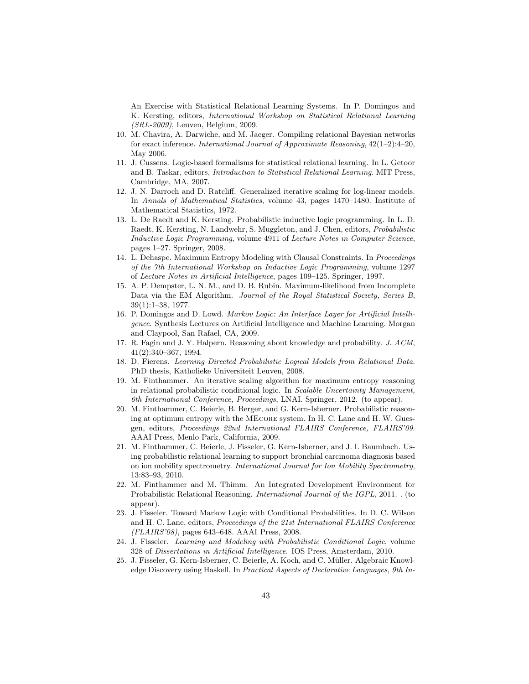An Exercise with Statistical Relational Learning Systems. In P. Domingos and K. Kersting, editors, International Workshop on Statistical Relational Learning (SRL-2009), Leuven, Belgium, 2009.

- 10. M. Chavira, A. Darwiche, and M. Jaeger. Compiling relational Bayesian networks for exact inference. International Journal of Approximate Reasoning,  $42(1-2)$ :  $4-20$ , May 2006.
- 11. J. Cussens. Logic-based formalisms for statistical relational learning. In L. Getoor and B. Taskar, editors, Introduction to Statistical Relational Learning. MIT Press, Cambridge, MA, 2007.
- 12. J. N. Darroch and D. Ratcliff. Generalized iterative scaling for log-linear models. In Annals of Mathematical Statistics, volume 43, pages 1470–1480. Institute of Mathematical Statistics, 1972.
- 13. L. De Raedt and K. Kersting. Probabilistic inductive logic programming. In L. D. Raedt, K. Kersting, N. Landwehr, S. Muggleton, and J. Chen, editors, Probabilistic Inductive Logic Programming, volume 4911 of Lecture Notes in Computer Science, pages 1–27. Springer, 2008.
- 14. L. Dehaspe. Maximum Entropy Modeling with Clausal Constraints. In Proceedings of the 7th International Workshop on Inductive Logic Programming, volume 1297 of Lecture Notes in Artificial Intelligence, pages 109–125. Springer, 1997.
- 15. A. P. Dempster, L. N. M., and D. B. Rubin. Maximum-likelihood from Incomplete Data via the EM Algorithm. Journal of the Royal Statistical Society, Series B, 39(1):1–38, 1977.
- 16. P. Domingos and D. Lowd. Markov Logic: An Interface Layer for Artificial Intelligence. Synthesis Lectures on Artificial Intelligence and Machine Learning. Morgan and Claypool, San Rafael, CA, 2009.
- 17. R. Fagin and J. Y. Halpern. Reasoning about knowledge and probability. J. ACM, 41(2):340–367, 1994.
- 18. D. Fierens. Learning Directed Probabilistic Logical Models from Relational Data. PhD thesis, Katholieke Universiteit Leuven, 2008.
- 19. M. Finthammer. An iterative scaling algorithm for maximum entropy reasoning in relational probabilistic conditional logic. In Scalable Uncertainty Management, 6th International Conference, Proceedings, LNAI. Springer, 2012. (to appear).
- 20. M. Finthammer, C. Beierle, B. Berger, and G. Kern-Isberner. Probabilistic reasoning at optimum entropy with the MEcore system. In H. C. Lane and H. W. Guesgen, editors, Proceedings 22nd International FLAIRS Conference, FLAIRS'09. AAAI Press, Menlo Park, California, 2009.
- 21. M. Finthammer, C. Beierle, J. Fisseler, G. Kern-Isberner, and J. I. Baumbach. Using probabilistic relational learning to support bronchial carcinoma diagnosis based on ion mobility spectrometry. International Journal for Ion Mobility Spectrometry, 13:83–93, 2010.
- 22. M. Finthammer and M. Thimm. An Integrated Development Environment for Probabilistic Relational Reasoning. International Journal of the IGPL, 2011. . (to appear).
- 23. J. Fisseler. Toward Markov Logic with Conditional Probabilities. In D. C. Wilson and H. C. Lane, editors, Proceedings of the 21st International FLAIRS Conference (FLAIRS'08), pages 643–648. AAAI Press, 2008.
- 24. J. Fisseler. Learning and Modeling with Probabilistic Conditional Logic, volume 328 of Dissertations in Artificial Intelligence. IOS Press, Amsterdam, 2010.
- 25. J. Fisseler, G. Kern-Isberner, C. Beierle, A. Koch, and C. Müller. Algebraic Knowledge Discovery using Haskell. In Practical Aspects of Declarative Languages, 9th In-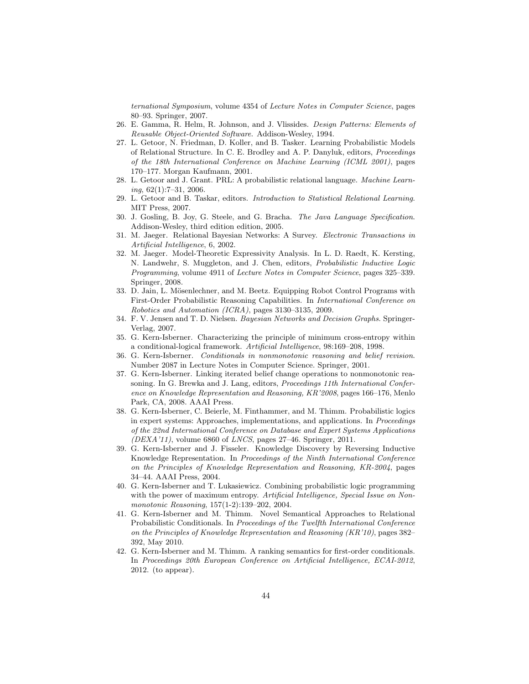ternational Symposium, volume 4354 of Lecture Notes in Computer Science, pages 80–93. Springer, 2007.

- 26. E. Gamma, R. Helm, R. Johnson, and J. Vlissides. Design Patterns: Elements of Reusable Object-Oriented Software. Addison-Wesley, 1994.
- 27. L. Getoor, N. Friedman, D. Koller, and B. Tasker. Learning Probabilistic Models of Relational Structure. In C. E. Brodley and A. P. Danyluk, editors, Proceedings of the 18th International Conference on Machine Learning (ICML 2001), pages 170–177. Morgan Kaufmann, 2001.
- 28. L. Getoor and J. Grant. PRL: A probabilistic relational language. Machine Learning, 62(1):7–31, 2006.
- 29. L. Getoor and B. Taskar, editors. Introduction to Statistical Relational Learning. MIT Press, 2007.
- 30. J. Gosling, B. Joy, G. Steele, and G. Bracha. The Java Language Specification. Addison-Wesley, third edition edition, 2005.
- 31. M. Jaeger. Relational Bayesian Networks: A Survey. Electronic Transactions in Artificial Intelligence, 6, 2002.
- 32. M. Jaeger. Model-Theoretic Expressivity Analysis. In L. D. Raedt, K. Kersting, N. Landwehr, S. Muggleton, and J. Chen, editors, Probabilistic Inductive Logic Programming, volume 4911 of Lecture Notes in Computer Science, pages 325–339. Springer, 2008.
- 33. D. Jain, L. Mösenlechner, and M. Beetz. Equipping Robot Control Programs with First-Order Probabilistic Reasoning Capabilities. In International Conference on Robotics and Automation (ICRA), pages 3130–3135, 2009.
- 34. F. V. Jensen and T. D. Nielsen. Bayesian Networks and Decision Graphs. Springer-Verlag, 2007.
- 35. G. Kern-Isberner. Characterizing the principle of minimum cross-entropy within a conditional-logical framework. Artificial Intelligence, 98:169–208, 1998.
- 36. G. Kern-Isberner. Conditionals in nonmonotonic reasoning and belief revision. Number 2087 in Lecture Notes in Computer Science. Springer, 2001.
- 37. G. Kern-Isberner. Linking iterated belief change operations to nonmonotonic reasoning. In G. Brewka and J. Lang, editors, Proceedings 11th International Conference on Knowledge Representation and Reasoning, KR'2008, pages 166–176, Menlo Park, CA, 2008. AAAI Press.
- 38. G. Kern-Isberner, C. Beierle, M. Finthammer, and M. Thimm. Probabilistic logics in expert systems: Approaches, implementations, and applications. In Proceedings of the 22nd International Conference on Database and Expert Systems Applications  $(DEXA'11)$ , volume 6860 of *LNCS*, pages 27–46. Springer, 2011.
- 39. G. Kern-Isberner and J. Fisseler. Knowledge Discovery by Reversing Inductive Knowledge Representation. In Proceedings of the Ninth International Conference on the Principles of Knowledge Representation and Reasoning, KR-2004, pages 34–44. AAAI Press, 2004.
- 40. G. Kern-Isberner and T. Lukasiewicz. Combining probabilistic logic programming with the power of maximum entropy. Artificial Intelligence, Special Issue on Nonmonotonic Reasoning, 157(1-2):139–202, 2004.
- 41. G. Kern-Isberner and M. Thimm. Novel Semantical Approaches to Relational Probabilistic Conditionals. In Proceedings of the Twelfth International Conference on the Principles of Knowledge Representation and Reasoning (KR'10), pages 382– 392, May 2010.
- 42. G. Kern-Isberner and M. Thimm. A ranking semantics for first-order conditionals. In Proceedings 20th European Conference on Artificial Intelligence, ECAI-2012, 2012. (to appear).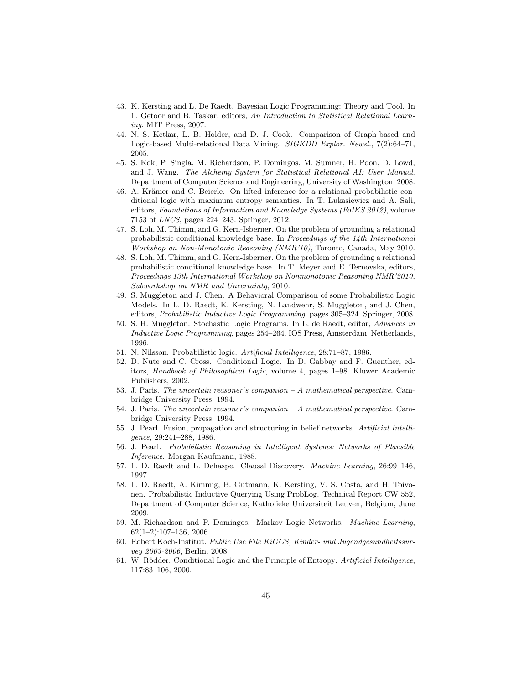- 43. K. Kersting and L. De Raedt. Bayesian Logic Programming: Theory and Tool. In L. Getoor and B. Taskar, editors, An Introduction to Statistical Relational Learning. MIT Press, 2007.
- 44. N. S. Ketkar, L. B. Holder, and D. J. Cook. Comparison of Graph-based and Logic-based Multi-relational Data Mining. SIGKDD Explor. Newsl., 7(2):64–71, 2005.
- 45. S. Kok, P. Singla, M. Richardson, P. Domingos, M. Sumner, H. Poon, D. Lowd, and J. Wang. The Alchemy System for Statistical Relational AI: User Manual. Department of Computer Science and Engineering, University of Washington, 2008.
- 46. A. Krämer and C. Beierle. On lifted inference for a relational probabilistic conditional logic with maximum entropy semantics. In T. Lukasiewicz and A. Sali, editors, Foundations of Information and Knowledge Systems (FoIKS 2012), volume 7153 of LNCS, pages 224–243. Springer, 2012.
- 47. S. Loh, M. Thimm, and G. Kern-Isberner. On the problem of grounding a relational probabilistic conditional knowledge base. In Proceedings of the 14th International Workshop on Non-Monotonic Reasoning (NMR'10), Toronto, Canada, May 2010.
- 48. S. Loh, M. Thimm, and G. Kern-Isberner. On the problem of grounding a relational probabilistic conditional knowledge base. In T. Meyer and E. Ternovska, editors, Proceedings 13th International Workshop on Nonmonotonic Reasoning NMR'2010, Subworkshop on NMR and Uncertainty, 2010.
- 49. S. Muggleton and J. Chen. A Behavioral Comparison of some Probabilistic Logic Models. In L. D. Raedt, K. Kersting, N. Landwehr, S. Muggleton, and J. Chen, editors, Probabilistic Inductive Logic Programming, pages 305–324. Springer, 2008.
- 50. S. H. Muggleton. Stochastic Logic Programs. In L. de Raedt, editor, Advances in Inductive Logic Programming, pages 254–264. IOS Press, Amsterdam, Netherlands, 1996.
- 51. N. Nilsson. Probabilistic logic. Artificial Intelligence, 28:71–87, 1986.
- 52. D. Nute and C. Cross. Conditional Logic. In D. Gabbay and F. Guenther, editors, Handbook of Philosophical Logic, volume 4, pages 1–98. Kluwer Academic Publishers, 2002.
- 53. J. Paris. The uncertain reasoner's companion A mathematical perspective. Cambridge University Press, 1994.
- 54. J. Paris. The uncertain reasoner's companion A mathematical perspective. Cambridge University Press, 1994.
- 55. J. Pearl. Fusion, propagation and structuring in belief networks. Artificial Intelligence, 29:241–288, 1986.
- 56. J. Pearl. Probabilistic Reasoning in Intelligent Systems: Networks of Plausible Inference. Morgan Kaufmann, 1988.
- 57. L. D. Raedt and L. Dehaspe. Clausal Discovery. Machine Learning, 26:99–146, 1997.
- 58. L. D. Raedt, A. Kimmig, B. Gutmann, K. Kersting, V. S. Costa, and H. Toivonen. Probabilistic Inductive Querying Using ProbLog. Technical Report CW 552, Department of Computer Science, Katholieke Universiteit Leuven, Belgium, June 2009.
- 59. M. Richardson and P. Domingos. Markov Logic Networks. Machine Learning, 62(1–2):107–136, 2006.
- 60. Robert Koch-Institut. Public Use File KiGGS, Kinder- und Jugendgesundheitssurvey 2003-2006, Berlin, 2008.
- 61. W. Rödder. Conditional Logic and the Principle of Entropy. Artificial Intelligence, 117:83–106, 2000.